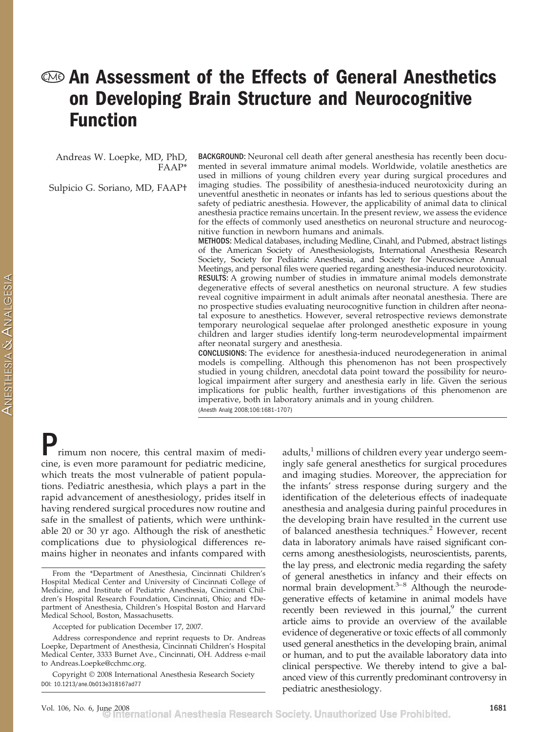# **An Assessment of the Effects of General Anesthetics on Developing Brain Structure and Neurocognitive Function**

Andreas W. Loepke, MD, PhD, FAAP\*

Sulpicio G. Soriano, MD, FAAP†

BACKGROUND: Neuronal cell death after general anesthesia has recently been documented in several immature animal models. Worldwide, volatile anesthetics are used in millions of young children every year during surgical procedures and imaging studies. The possibility of anesthesia-induced neurotoxicity during an uneventful anesthetic in neonates or infants has led to serious questions about the safety of pediatric anesthesia. However, the applicability of animal data to clinical anesthesia practice remains uncertain. In the present review, we assess the evidence for the effects of commonly used anesthetics on neuronal structure and neurocognitive function in newborn humans and animals.

METHODS: Medical databases, including Medline, Cinahl, and Pubmed, abstract listings of the American Society of Anesthesiologists, International Anesthesia Research Society, Society for Pediatric Anesthesia, and Society for Neuroscience Annual Meetings, and personal files were queried regarding anesthesia-induced neurotoxicity. RESULTS: A growing number of studies in immature animal models demonstrate degenerative effects of several anesthetics on neuronal structure. A few studies reveal cognitive impairment in adult animals after neonatal anesthesia. There are no prospective studies evaluating neurocognitive function in children after neonatal exposure to anesthetics. However, several retrospective reviews demonstrate temporary neurological sequelae after prolonged anesthetic exposure in young children and larger studies identify long-term neurodevelopmental impairment after neonatal surgery and anesthesia.

CONCLUSIONS: The evidence for anesthesia-induced neurodegeneration in animal models is compelling. Although this phenomenon has not been prospectively studied in young children, anecdotal data point toward the possibility for neurological impairment after surgery and anesthesia early in life. Given the serious implications for public health, further investigations of this phenomenon are imperative, both in laboratory animals and in young children.

(Anesth Analg 2008;106:1681–1707)

rimum non nocere, this central maxim of medicine, is even more paramount for pediatric medicine, which treats the most vulnerable of patient populations. Pediatric anesthesia, which plays a part in the rapid advancement of anesthesiology, prides itself in having rendered surgical procedures now routine and safe in the smallest of patients, which were unthinkable 20 or 30 yr ago. Although the risk of anesthetic complications due to physiological differences remains higher in neonates and infants compared with

Copyright © 2008 International Anesthesia Research Society DOI: 10.1213/ane.0b013e318167ad77

adults, $1$  millions of children every year undergo seemingly safe general anesthetics for surgical procedures and imaging studies. Moreover, the appreciation for the infants' stress response during surgery and the identification of the deleterious effects of inadequate anesthesia and analgesia during painful procedures in the developing brain have resulted in the current use of balanced anesthesia techniques.<sup>2</sup> However, recent data in laboratory animals have raised significant concerns among anesthesiologists, neuroscientists, parents, the lay press, and electronic media regarding the safety of general anesthetics in infancy and their effects on normal brain development. $3-8$  Although the neurodegenerative effects of ketamine in animal models have recently been reviewed in this journal, $9$  the current article aims to provide an overview of the available evidence of degenerative or toxic effects of all commonly used general anesthetics in the developing brain, animal or human, and to put the available laboratory data into clinical perspective. We thereby intend to give a balanced view of this currently predominant controversy in pediatric anesthesiology.

From the \*Department of Anesthesia, Cincinnati Children's Hospital Medical Center and University of Cincinnati College of Medicine, and Institute of Pediatric Anesthesia, Cincinnati Children's Hospital Research Foundation, Cincinnati, Ohio; and †Department of Anesthesia, Children's Hospital Boston and Harvard Medical School, Boston, Massachusetts.

Accepted for publication December 17, 2007.

Address correspondence and reprint requests to Dr. Andreas Loepke, Department of Anesthesia, Cincinnati Children's Hospital Medical Center, 3333 Burnet Ave., Cincinnati, OH. Address e-mail to Andreas.Loepke@cchmc.org.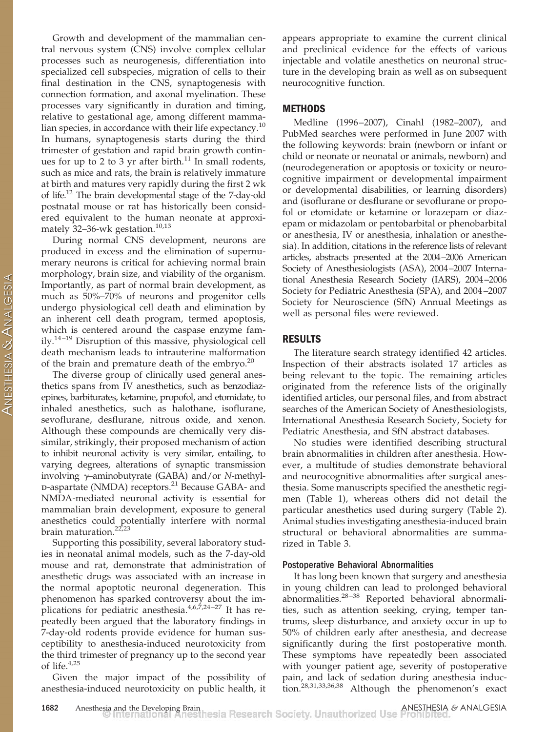**ANESTHESIA & ANALGESIA** 

Growth and development of the mammalian central nervous system (CNS) involve complex cellular processes such as neurogenesis, differentiation into specialized cell subspecies, migration of cells to their final destination in the CNS, synaptogenesis with connection formation, and axonal myelination. These processes vary significantly in duration and timing, relative to gestational age, among different mammalian species, in accordance with their life expectancy.<sup>10</sup> In humans, synaptogenesis starts during the third trimester of gestation and rapid brain growth continues for up to 2 to 3 yr after birth. $^{11}$  In small rodents, such as mice and rats, the brain is relatively immature at birth and matures very rapidly during the first 2 wk of life.12 The brain developmental stage of the 7-day-old postnatal mouse or rat has historically been considered equivalent to the human neonate at approximately 32–36-wk gestation.<sup>10,13</sup>

During normal CNS development, neurons are produced in excess and the elimination of supernumerary neurons is critical for achieving normal brain morphology, brain size, and viability of the organism. Importantly, as part of normal brain development, as much as 50%–70% of neurons and progenitor cells undergo physiological cell death and elimination by an inherent cell death program, termed apoptosis, which is centered around the caspase enzyme family.14 –19 Disruption of this massive, physiological cell death mechanism leads to intrauterine malformation of the brain and premature death of the embryo. $^{20}$ 

The diverse group of clinically used general anesthetics spans from IV anesthetics, such as benzodiazepines, barbiturates, ketamine, propofol, and etomidate, to inhaled anesthetics, such as halothane, isoflurane, sevoflurane, desflurane, nitrous oxide, and xenon. Although these compounds are chemically very dissimilar, strikingly, their proposed mechanism of action to inhibit neuronal activity is very similar, entailing, to varying degrees, alterations of synaptic transmission involving γ-aminobutyrate (GABA) and/or *N*-methylp-aspartate (NMDA) receptors.<sup>21</sup> Because GABA- and NMDA-mediated neuronal activity is essential for mammalian brain development, exposure to general anesthetics could potentially interfere with normal brain maturation.<sup>22,23</sup>

Supporting this possibility, several laboratory studies in neonatal animal models, such as the 7-day-old mouse and rat, demonstrate that administration of anesthetic drugs was associated with an increase in the normal apoptotic neuronal degeneration. This phenomenon has sparked controversy about the implications for pediatric anesthesia.<sup>4,6,7,24-27</sup> It has repeatedly been argued that the laboratory findings in 7-day-old rodents provide evidence for human susceptibility to anesthesia-induced neurotoxicity from the third trimester of pregnancy up to the second year of life. $4,25$ 

Given the major impact of the possibility of anesthesia-induced neurotoxicity on public health, it

appears appropriate to examine the current clinical and preclinical evidence for the effects of various injectable and volatile anesthetics on neuronal structure in the developing brain as well as on subsequent neurocognitive function.

# **METHODS**

Medline (1996 –2007), Cinahl (1982–2007), and PubMed searches were performed in June 2007 with the following keywords: brain (newborn or infant or child or neonate or neonatal or animals, newborn) and (neurodegeneration or apoptosis or toxicity or neurocognitive impairment or developmental impairment or developmental disabilities, or learning disorders) and (isoflurane or desflurane or sevoflurane or propofol or etomidate or ketamine or lorazepam or diazepam or midazolam or pentobarbital or phenobarbital or anesthesia, IV or anesthesia, inhalation or anesthesia). In addition, citations in the reference lists of relevant articles, abstracts presented at the 2004–2006 American Society of Anesthesiologists (ASA), 2004 –2007 International Anesthesia Research Society (IARS), 2004 –2006 Society for Pediatric Anesthesia (SPA), and 2004 –2007 Society for Neuroscience (SfN) Annual Meetings as well as personal files were reviewed.

# **RESULTS**

The literature search strategy identified 42 articles. Inspection of their abstracts isolated 17 articles as being relevant to the topic. The remaining articles originated from the reference lists of the originally identified articles, our personal files, and from abstract searches of the American Society of Anesthesiologists, International Anesthesia Research Society, Society for Pediatric Anesthesia, and SfN abstract databases.

No studies were identified describing structural brain abnormalities in children after anesthesia. However, a multitude of studies demonstrate behavioral and neurocognitive abnormalities after surgical anesthesia. Some manuscripts specified the anesthetic regimen (Table 1), whereas others did not detail the particular anesthetics used during surgery (Table 2). Animal studies investigating anesthesia-induced brain structural or behavioral abnormalities are summarized in Table 3.

# Postoperative Behavioral Abnormalities

It has long been known that surgery and anesthesia in young children can lead to prolonged behavioral abnormalities.<sup>28-38</sup> Reported behavioral abnormalities, such as attention seeking, crying, temper tantrums, sleep disturbance, and anxiety occur in up to 50% of children early after anesthesia, and decrease significantly during the first postoperative month. These symptoms have repeatedly been associated with younger patient age, severity of postoperative pain, and lack of sedation during anesthesia induction.<sup>28,31,33,36,38</sup> Although the phenomenon's exact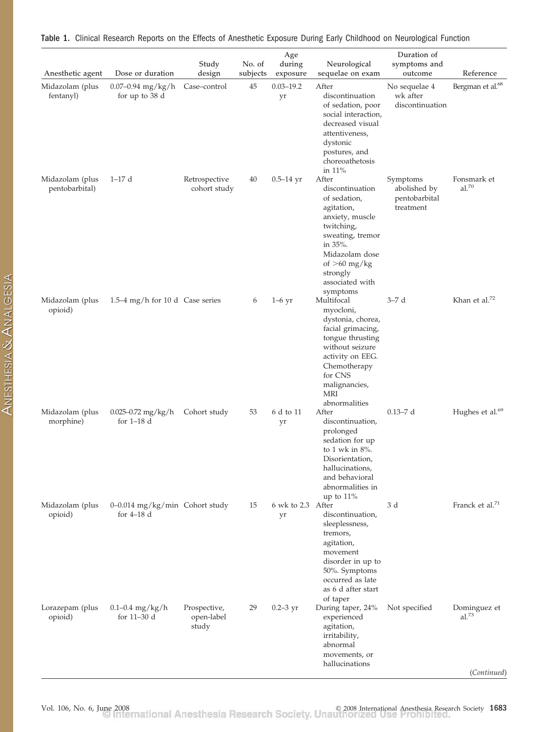| Anesthetic agent                  | Dose or duration                               | Study<br>design                     | No. of<br>subjects | Age<br>during<br>exposure | Neurological<br>sequelae on exam                                                                                                                                                                      | Duration of<br>symptoms and<br>outcome                 | Reference                                 |
|-----------------------------------|------------------------------------------------|-------------------------------------|--------------------|---------------------------|-------------------------------------------------------------------------------------------------------------------------------------------------------------------------------------------------------|--------------------------------------------------------|-------------------------------------------|
| Midazolam (plus<br>fentanyl)      | $0.07 - 0.94$ mg/kg/h<br>for up to 38 d        | Case-control                        | 45                 | $0.03 - 19.2$<br>yr       | After<br>discontinuation<br>of sedation, poor<br>social interaction,<br>decreased visual<br>attentiveness,<br>dystonic<br>postures, and<br>choreoathetosis<br>in 11%                                  | No sequelae 4<br>wk after<br>discontinuation           | Bergman et al. <sup>68</sup>              |
| Midazolam (plus<br>pentobarbital) | $1-17d$                                        | Retrospective<br>cohort study       | 40                 | $0.5 - 14$ yr             | After<br>discontinuation<br>of sedation,<br>agitation,<br>anxiety, muscle<br>twitching,<br>sweating, tremor<br>in 35%.<br>Midazolam dose<br>of $>60$ mg/kg<br>strongly<br>associated with<br>symptoms | Symptoms<br>abolished by<br>pentobarbital<br>treatment | Fonsmark et<br>al.70                      |
| Midazolam (plus<br>opioid)        | 1.5–4 mg/h for 10 d $\;$ Case series           |                                     | 6                  | $1-6$ yr                  | Multifocal<br>myocloni,<br>dystonia, chorea,<br>facial grimacing,<br>tongue thrusting<br>without seizure<br>activity on EEG.<br>Chemotherapy<br>for CNS<br>malignancies,<br>MRI<br>abnormalities      | 3–7 d                                                  | Khan et al. <sup>72</sup>                 |
| Midazolam (plus<br>morphine)      | $0.025 - 0.72$ mg/kg/h<br>for $1-18$ d         | Cohort study                        | 53                 | 6 d to 11<br>yr           | After<br>discontinuation,<br>prolonged<br>sedation for up<br>to 1 wk in $8\%$ .<br>Disorientation,<br>hallucinations,<br>and behavioral<br>abnormalities in<br>up to 11%                              | $0.13 - 7$ d                                           | Hughes et al. <sup>69</sup>               |
| Midazolam (plus<br>opioid)        | 0-0.014 mg/kg/min Cohort study<br>for $4-18$ d |                                     | 15                 | 6 wk to 2.3 After<br>yr   | discontinuation,<br>sleeplessness,<br>tremors,<br>agitation,<br>movement<br>disorder in up to<br>50%. Symptoms<br>occurred as late<br>as 6 d after start<br>of taper                                  | 3 d                                                    | Franck et al. <sup>71</sup>               |
| Lorazepam (plus<br>opioid)        | $0.1 - 0.4$ mg/kg/h<br>for $11-30$ d           | Prospective,<br>open-label<br>study | 29                 | $0.2 - 3$ yr              | During taper, 24%<br>experienced<br>agitation,<br>irritability,<br>abnormal<br>movements, or<br>hallucinations                                                                                        | Not specified                                          | Dominguez et<br>$al.^{73}$<br>(Continued) |
|                                   |                                                |                                     |                    |                           |                                                                                                                                                                                                       |                                                        |                                           |

**ANESTHESIA & ANALGESIA**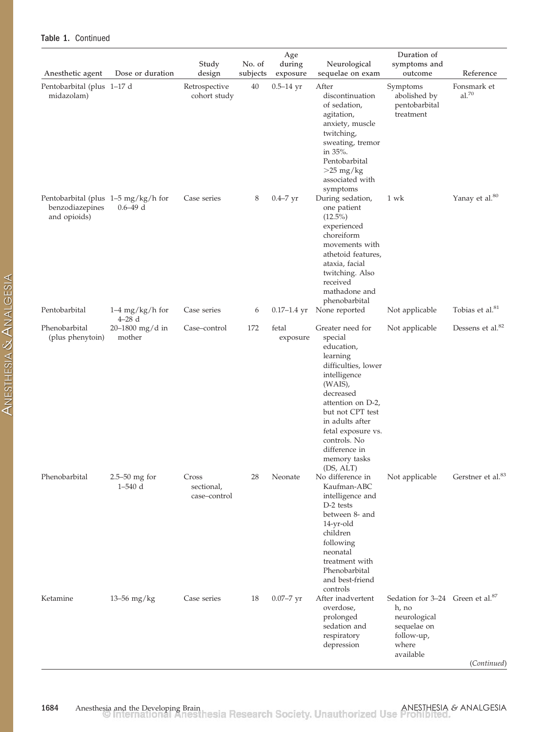| Anesthetic agent                                                       | Dose or duration                 | Study<br>design                     | No. of<br>subjects | Age<br>during<br>exposure | Neurological<br>sequelae on exam                                                                                                                                                                                                                                     | Duration of<br>symptoms and<br>outcome                                                                                   | Reference                     |
|------------------------------------------------------------------------|----------------------------------|-------------------------------------|--------------------|---------------------------|----------------------------------------------------------------------------------------------------------------------------------------------------------------------------------------------------------------------------------------------------------------------|--------------------------------------------------------------------------------------------------------------------------|-------------------------------|
| Pentobarbital (plus 1-17 d<br>midazolam)                               |                                  | Retrospective<br>cohort study       | 40                 | $0.5 - 14$ yr             | After<br>discontinuation<br>of sedation,<br>agitation,<br>anxiety, muscle<br>twitching,<br>sweating, tremor<br>in 35%.<br>Pentobarbital<br>$>25$ mg/kg<br>associated with<br>symptoms                                                                                | Symptoms<br>abolished by<br>pentobarbital<br>treatment                                                                   | Fonsmark et<br>al.70          |
| Pentobarbital (plus 1-5 mg/kg/h for<br>benzodiazepines<br>and opioids) | $0.6 - 49$ d                     | Case series                         | 8                  | $0.4 - 7$ yr              | During sedation,<br>one patient<br>$(12.5\%)$<br>experienced<br>choreiform<br>movements with<br>athetoid features,<br>ataxia, facial<br>twitching. Also<br>received<br>mathadone and<br>phenobarbital                                                                | 1 wk                                                                                                                     | Yanay et al. <sup>80</sup>    |
| Pentobarbital                                                          | $1-4$ mg/kg/h for<br>$4-28$ d    | Case series                         | 6                  |                           | 0.17-1.4 yr None reported                                                                                                                                                                                                                                            | Not applicable                                                                                                           | Tobias et al. <sup>81</sup>   |
| Phenobarbital<br>(plus phenytoin)                                      | 20-1800 mg/d in<br>mother        | Case–control                        | 172                | fetal<br>exposure         | Greater need for<br>special<br>education,<br>learning<br>difficulties, lower<br>intelligence<br>(WAIS),<br>decreased<br>attention on D-2,<br>but not CPT test<br>in adults after<br>fetal exposure vs.<br>controls. No<br>difference in<br>memory tasks<br>(DS, ALT) | Not applicable                                                                                                           | Dessens et al. <sup>82</sup>  |
| Phenobarbital                                                          | $2.5 - 50$ mg for<br>$1 - 540$ d | Cross<br>sectional,<br>case-control | 28                 | Neonate                   | No difference in<br>Kaufman-ABC<br>intelligence and<br>D-2 tests<br>between 8- and<br>14-yr-old<br>children<br>following<br>neonatal<br>treatment with<br>Phenobarbital<br>and best-friend<br>controls                                                               | Not applicable                                                                                                           | Gerstner et al. <sup>83</sup> |
| Ketamine                                                               | $13-56$ mg/kg                    | Case series                         | 18                 | $0.07 - 7$ yr             | After inadvertent<br>overdose,<br>prolonged<br>sedation and<br>respiratory<br>depression                                                                                                                                                                             | Sedation for 3-24 Green et al. <sup>87</sup><br>h, no<br>neurological<br>sequelae on<br>follow-up,<br>where<br>available | (Continued)                   |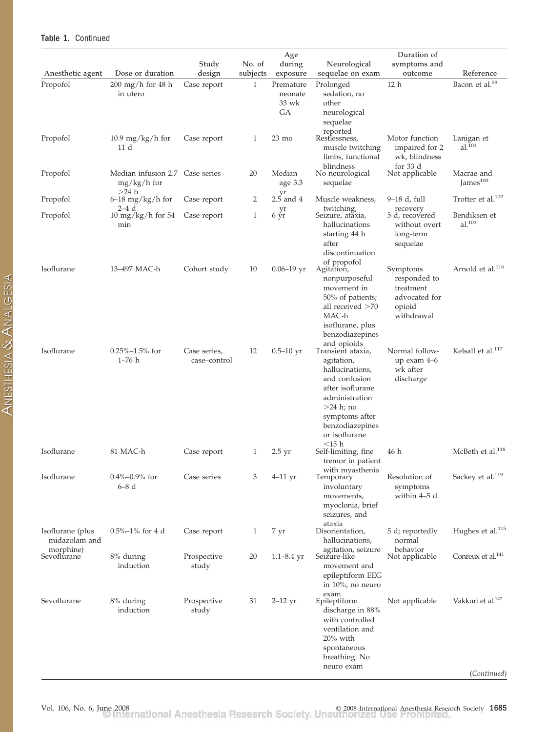| Table 1. |  | Continued |
|----------|--|-----------|
|----------|--|-----------|

| Anesthetic agent                  | Dose or duration                                 | Study<br>design              | No. of<br>subjects | Age<br>during<br>exposure           | Neurological<br>sequelae on exam                                                                                                                                                            | Duration of<br>symptoms and<br>outcome                                         | Reference                                    |
|-----------------------------------|--------------------------------------------------|------------------------------|--------------------|-------------------------------------|---------------------------------------------------------------------------------------------------------------------------------------------------------------------------------------------|--------------------------------------------------------------------------------|----------------------------------------------|
| Propofol                          | $200 \text{ mg/h}$ for 48 h<br>in utero          | Case report                  | $\mathbf{1}$       | Premature<br>neonate<br>33 wk<br>GA | Prolonged<br>sedation, no<br>other<br>neurological<br>sequelae                                                                                                                              | 12 h                                                                           | Bacon et al.99                               |
| Propofol                          | $10.9 \text{ mg/kg/h}$ for<br>11 d               | Case report                  | $\mathbf{1}$       | 23 mo                               | reported<br>Restlessness,<br>muscle twitching<br>limbs, functional                                                                                                                          | Motor function<br>impaired for 2<br>wk, blindness                              | Lanigan et<br>al. <sup>101</sup>             |
| Propofol                          | Median infusion 2.7 Case series<br>$mg/kg/h$ for |                              | 20                 | Median<br>age 3.3                   | blindness<br>No neurological<br>sequelae                                                                                                                                                    | for 33 d<br>Not applicable                                                     | Macrae and<br>James <sup>100</sup>           |
| Propofol                          | >24 h<br>$6-18$ mg/kg/h for                      | Case report                  | $\overline{2}$     | $2.5$ and 4                         | Muscle weakness,                                                                                                                                                                            | 9–18 d, full                                                                   | Trotter et al. <sup>102</sup>                |
| Propofol                          | 2–4 d<br>$10 \text{ mg/kg/h}$ for 54<br>min      | Case report                  | $\mathbf{1}$       | $rac{\text{yr}}{6 \text{ yr}}$      | twitching,<br>Seizure, atāxia,<br>hallucinations<br>starting 44 h<br>after<br>discontinuation                                                                                               | recovery<br>5 d, recovered<br>without overt<br>long-term<br>sequelae           | Bendiksen et<br>$al.$ <sup>103</sup>         |
| Isoflurane                        | 13–497 MAC-h                                     | Cohort study                 | 10                 | $0.06 - 19$ yr                      | of propofol<br>Agitation,<br>nonpurposeful<br>movement in<br>50% of patients;<br>all received >70<br>MAC-h<br>isoflurane, plus<br>benzodiazepines                                           | Symptoms<br>responded to<br>treatment<br>advocated for<br>opioid<br>withdrawal | Arnold et al. <sup>116</sup>                 |
| Isoflurane                        | $0.25\% - 1.5\%$ for<br>$1 - 76 h$               | Case series,<br>case-control | 12                 | $0.5 - 10$ yr                       | and opioids<br>Transient ataxia,<br>agitation,<br>hallucinations,<br>and confusion<br>after isoflurane<br>administration<br>>24 h; no<br>symptoms after<br>benzodiazepines<br>or isoflurane | Normal follow-<br>up exam $4-6$<br>wk after<br>discharge                       | Kelsall et al. <sup>117</sup>                |
| Isoflurane                        | 81 MAC-h                                         | Case report                  | 1                  | $2.5 \text{ yr}$                    | $<$ 15 h<br>Self-limiting, fine<br>tremor in patient                                                                                                                                        | 46 h                                                                           | McBeth et al. <sup>118</sup>                 |
| Isoflurane                        | $0.4\% - 0.9\%$ for<br>$6 - 8$ d                 | Case series                  | 3                  | $4-11$ yr                           | with myasthenia<br>Temporary<br>involuntary<br>movements,<br>myoclonia, brief<br>seizures, and                                                                                              | Resolution of<br>symptoms<br>within 4-5 d                                      | Sackey et al. <sup>119</sup>                 |
| Isoflurane (plus<br>midazolam and | $0.5\% - 1\%$ for 4 d                            | Case report                  | $\mathbf{1}$       | 7 yr                                | ataxia<br>Disorientation,<br>hallucinations,                                                                                                                                                | 5 d; reportedly<br>normal                                                      | Hughes et al. <sup>115</sup>                 |
| morphine)<br>Sevoflurane          | 8% during<br>induction                           | Prospective<br>study         | 20                 | $1.1 - 8.4$ yr                      | agitation, seizure<br>Seizure-like<br>movement and<br>epileptiform EEG<br>in $10\%$ , no neuro<br>exam                                                                                      | behavior<br>Not applicable                                                     | Conreux et al. <sup>141</sup>                |
| Sevoflurane                       | 8% during<br>induction                           | Prospective<br>study         | 31                 | $2-12$ yr                           | Epileptiform<br>discharge in 88%<br>with controlled<br>ventilation and<br>$20\%$ with<br>spontaneous<br>breathing. No<br>neuro exam                                                         | Not applicable                                                                 | Vakkuri et al. <sup>142</sup><br>(Continued) |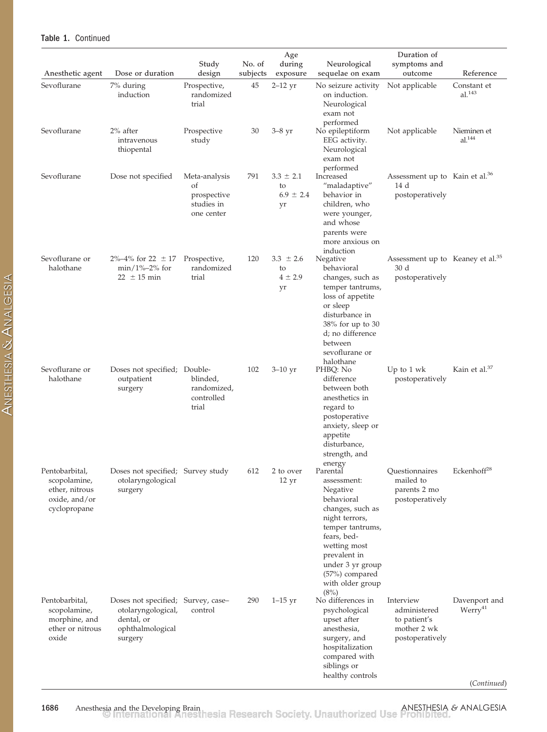| Anesthetic agent                                                                  | Dose or duration                                                                                      | Study<br>design                                                | No. of<br>subjects | Age<br>during<br>exposure                  | Neurological<br>sequelae on exam                                                                                                                                                                                     | Duration of<br>symptoms and<br>outcome                                      | Reference                            |
|-----------------------------------------------------------------------------------|-------------------------------------------------------------------------------------------------------|----------------------------------------------------------------|--------------------|--------------------------------------------|----------------------------------------------------------------------------------------------------------------------------------------------------------------------------------------------------------------------|-----------------------------------------------------------------------------|--------------------------------------|
| Sevoflurane                                                                       | 7% during<br>induction                                                                                | Prospective,<br>randomized<br>trial                            | 45                 | $2-12$ yr                                  | No seizure activity<br>on induction.<br>Neurological<br>exam not                                                                                                                                                     | Not applicable                                                              | Constant et<br>$al.$ <sup>143</sup>  |
| Sevoflurane                                                                       | $2%$ after<br>intravenous<br>thiopental                                                               | Prospective<br>study                                           | 30                 | $3 - 8$ yr                                 | performed<br>No epileptiform<br>EEG activity.<br>Neurological<br>exam not<br>performed                                                                                                                               | Not applicable                                                              | Nieminen et<br>al. <sup>144</sup>    |
| Sevoflurane                                                                       | Dose not specified                                                                                    | Meta-analysis<br>of<br>prospective<br>studies in<br>one center | 791                | $3.3 \pm 2.1$<br>to<br>$6.9 \pm 2.4$<br>yr | Increased<br>"maladaptive"<br>behavior in<br>children, who<br>were younger,<br>and whose<br>parents were<br>more anxious on<br>induction                                                                             | Assessment up to Kain et al. <sup>36</sup><br>14 d<br>postoperatively       |                                      |
| Sevoflurane or<br>halothane                                                       | $2\% - 4\%$ for 22 $\pm$ 17 Prospective,<br>$min/1\% - 2\%$ for<br>$22 \pm 15$ min                    | randomized<br>trial                                            | 120                | $3.3 \pm 2.6$<br>to<br>$4 \pm 2.9$<br>yr   | Negative<br>behavioral<br>changes, such as<br>temper tantrums,<br>loss of appetite<br>or sleep<br>disturbance in<br>38% for up to 30<br>d; no difference<br>between<br>sevoflurane or<br>halothane                   | Assessment up to Keaney et al. <sup>35</sup><br>30 d<br>postoperatively     |                                      |
| Sevoflurane or<br>halothane                                                       | Doses not specified; Double-<br>outpatient<br>surgery                                                 | blinded,<br>randomized,<br>controlled<br>trial                 | 102                | $3-10$ yr                                  | PHBQ: No<br>difference<br>between both<br>anesthetics in<br>regard to<br>postoperative<br>anxiety, sleep or<br>appetite<br>disturbance,<br>strength, and<br>energy                                                   | Up to 1 wk<br>postoperatively                                               | Kain et al. <sup>37</sup>            |
| Pentobarbital,<br>scopolamine,<br>ether, nitrous<br>oxide, and/or<br>cyclopropane | Doses not specified; Survey study<br>otolaryngological<br>surgery                                     |                                                                | 612                | 2 to over<br>$12 \text{ yr}$               | Parental<br>assessment:<br>Negative<br>behavioral<br>changes, such as<br>night terrors,<br>temper tantrums,<br>fears, bed-<br>wetting most<br>prevalent in<br>under 3 yr group<br>(57%) compared<br>with older group | Questionnaires<br>mailed to<br>parents 2 mo<br>postoperatively              | Eckenhoff <sup>28</sup>              |
| Pentobarbital,<br>scopolamine,<br>morphine, and<br>ether or nitrous<br>oxide      | Doses not specified; Survey, case-<br>otolaryngological,<br>dental, or<br>ophthalmological<br>surgery | control                                                        | 290                | $1-15$ yr                                  | (8%)<br>No differences in<br>psychological<br>upset after<br>anesthesia,<br>surgery, and<br>hospitalization<br>compared with<br>siblings or<br>healthy controls                                                      | Interview<br>administered<br>to patient's<br>mother 2 wk<br>postoperatively | Davenport and<br>Werry <sup>41</sup> |

(*Continued*)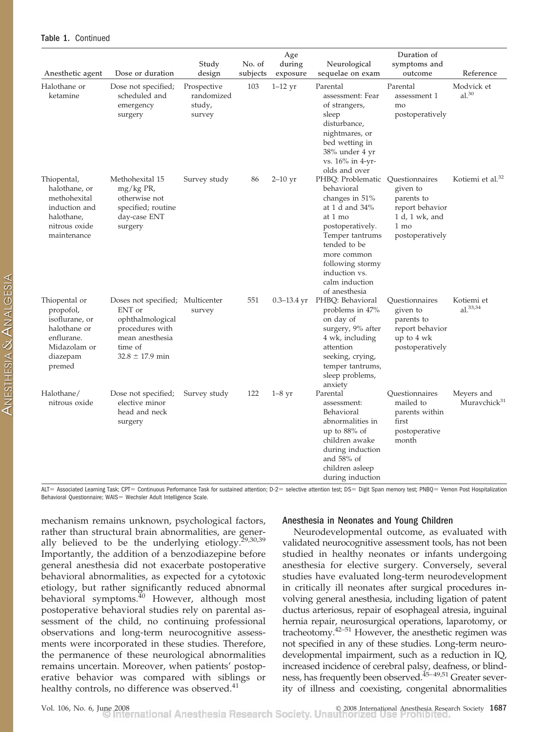| Anesthetic agent                                                                                                 | Dose or duration                                                                                                                                                                                                                                         | Study<br>design                               | No. of<br>subjects | Age<br>during<br>exposure | Neurological<br>sequelae on exam                                                                                                                                                                                                                 | Duration of<br>symptoms and<br>outcome                                                       | Reference                              |
|------------------------------------------------------------------------------------------------------------------|----------------------------------------------------------------------------------------------------------------------------------------------------------------------------------------------------------------------------------------------------------|-----------------------------------------------|--------------------|---------------------------|--------------------------------------------------------------------------------------------------------------------------------------------------------------------------------------------------------------------------------------------------|----------------------------------------------------------------------------------------------|----------------------------------------|
| Halothane or<br>ketamine                                                                                         | Dose not specified;<br>scheduled and<br>emergency<br>surgery                                                                                                                                                                                             | Prospective<br>randomized<br>study,<br>survey | 103                | $1-12$ yr                 | Parental<br>assessment: Fear<br>of strangers,<br>sleep<br>disturbance,<br>nightmares, or<br>bed wetting in<br>38% under 4 yr<br>vs. $16\%$ in 4-yr-<br>olds and over                                                                             | Parental<br>assessment 1<br>mo<br>postoperatively                                            | Modvick et<br>$al.^{30}$               |
| Thiopental,<br>halothane, or<br>methohexital<br>induction and<br>halothane,<br>nitrous oxide<br>maintenance      | Methohexital 15<br>mg/kg PR,<br>otherwise not<br>specified; routine<br>day-case ENT<br>surgery                                                                                                                                                           | Survey study                                  | 86                 | $2-10$ yr                 | PHBQ: Problematic Questionnaires<br>behavioral<br>changes in $51%$<br>at 1 d and $34\%$<br>at 1 mo<br>postoperatively.<br>Temper tantrums<br>tended to be<br>more common<br>following stormy<br>induction vs.<br>calm induction<br>of anesthesia | given to<br>parents to<br>report behavior<br>1 d, 1 wk, and<br>1 mo<br>postoperatively       | Kotiemi et al. <sup>32</sup>           |
| Thiopental or<br>propofol,<br>isoflurane, or<br>halothane or<br>enflurane.<br>Midazolam or<br>diazepam<br>premed | Doses not specified; Multicenter<br>ENT or<br>ophthalmological<br>procedures with<br>mean anesthesia<br>time of<br>$32.8 \pm 17.9$ min                                                                                                                   | survey                                        | 551                |                           | 0.3-13.4 yr PHBQ: Behavioral<br>problems in 47%<br>on day of<br>surgery, 9% after<br>4 wk, including<br>attention<br>seeking, crying,<br>temper tantrums,<br>sleep problems,<br>anxiety                                                          | Ouestionnaires<br>given to<br>parents to<br>report behavior<br>up to 4 wk<br>postoperatively | Kotiemi et<br>$al.$ <sup>33,34</sup>   |
| Halothane/<br>nitrous oxide                                                                                      | Dose not specified;<br>elective minor<br>head and neck<br>surgery<br>NT- Accordated Learning Tack: CDT- Continuous Regionance Tack for sustained attention: D.3- selective attention test: DS- Digit Sean memory test: DNDO- Vernen Rest Hespitalization | Survey study                                  | 122                | $1 - 8$ yr                | Parental<br>assessment:<br>Behavioral<br>abnormalities in<br>up to 88% of<br>children awake<br>during induction<br>and $58\%$ of<br>children asleep<br>during induction                                                                          | Ouestionnaires<br>mailed to<br>parents within<br>first<br>postoperative<br>month             | Meyers and<br>Muravchick <sup>31</sup> |

ALT= Associated Leaming Task; CPT= Continuous Performance Task for sustained attention; D-2= selective attention test; DS= Digit Span memory test; PNBQ= Vernon Post Hospitalization Behavioral Questionnaire; WAIS = Wechsler Adult Intelligence Scale.

mechanism remains unknown, psychological factors, rather than structural brain abnormalities, are generally believed to be the underlying etiology.<sup>29,30,39</sup> Importantly, the addition of a benzodiazepine before general anesthesia did not exacerbate postoperative behavioral abnormalities, as expected for a cytotoxic etiology, but rather significantly reduced abnormal behavioral symptoms.<sup>40</sup> However, although most postoperative behavioral studies rely on parental assessment of the child, no continuing professional observations and long-term neurocognitive assessments were incorporated in these studies. Therefore, the permanence of these neurological abnormalities remains uncertain. Moreover, when patients' postoperative behavior was compared with siblings or healthy controls, no difference was observed.<sup>41</sup>

## Anesthesia in Neonates and Young Children

Neurodevelopmental outcome, as evaluated with validated neurocognitive assessment tools, has not been studied in healthy neonates or infants undergoing anesthesia for elective surgery. Conversely, several studies have evaluated long-term neurodevelopment in critically ill neonates after surgical procedures involving general anesthesia, including ligation of patent ductus arteriosus, repair of esophageal atresia, inguinal hernia repair, neurosurgical operations, laparotomy, or tracheotomy.<sup>42–51</sup> However, the anesthetic regimen was not specified in any of these studies. Long-term neurodevelopmental impairment, such as a reduction in IQ, increased incidence of cerebral palsy, deafness, or blindness, has frequently been observed.<sup>45-49,51</sup> Greater severity of illness and coexisting, congenital abnormalities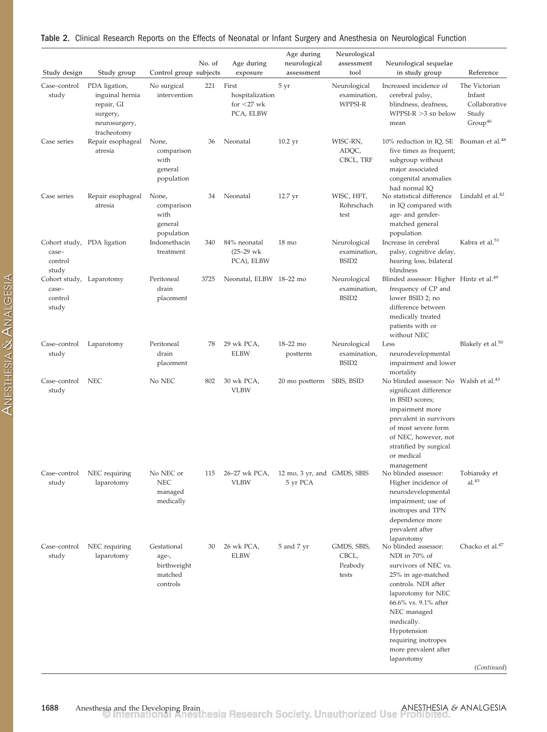| Study design                                            | Study group                                                                                | Control group subjects                                     | No. of | Age during<br>exposure                                               | Age during<br>neurological<br>assessment | Neurological<br>assessment<br>tool                | Neurological sequelae<br>in study group                                                                                                                                                                                                                           | Reference                                                                |
|---------------------------------------------------------|--------------------------------------------------------------------------------------------|------------------------------------------------------------|--------|----------------------------------------------------------------------|------------------------------------------|---------------------------------------------------|-------------------------------------------------------------------------------------------------------------------------------------------------------------------------------------------------------------------------------------------------------------------|--------------------------------------------------------------------------|
| Case-control<br>study                                   | PDA ligation,<br>inguinal hernia<br>repair, GI<br>surgery,<br>neurosurgery,<br>tracheotomy | No surgical<br>intervention                                | 221    | First<br>hospitalization<br>for $\langle 27 \text{ wk}$<br>PCA, ELBW | 5 yr                                     | Neurological<br>examination,<br>WPPSI-R           | Increased incidence of<br>cerebral palsy,<br>blindness, deafness,<br>WPPSI-R $>3$ sp below<br>mean                                                                                                                                                                | The Victorian<br>Infant<br>Collaborative<br>Study<br>Group <sup>46</sup> |
| Case series                                             | Repair esophageal<br>atresia                                                               | None,<br>comparison<br>with<br>general<br>population       | 36     | Neonatal                                                             | 10.2~yr                                  | WISC-RN,<br>ADQC,<br>CBCL, TRF                    | 10% reduction in IQ, SE Bouman et al. <sup>48</sup><br>five times as frequent;<br>subgroup without<br>major associated<br>congenital anomalies<br>had normal IQ                                                                                                   |                                                                          |
| Case series                                             | Repair esophageal<br>atresia                                                               | None,<br>comparison<br>with<br>general<br>population       | 34     | Neonatal                                                             | 12.7 yr                                  | WISC, HFT,<br>Rohrschach<br>test                  | No statistical difference<br>in IQ compared with<br>age- and gender-<br>matched general<br>population                                                                                                                                                             | Lindahl et al. <sup>42</sup>                                             |
| Cohort study, PDA ligation<br>case-<br>control<br>study |                                                                                            | Indomethacin<br>treatment                                  | 340    | 84% neonatal<br>$(25-29)$ wk<br>PCA), ELBW                           | $18 \text{ mo}$                          | Neurological<br>examination,<br>BSID <sub>2</sub> | Increase in cerebral<br>palsy, cognitive delay,<br>hearing loss, bilateral<br>blindness                                                                                                                                                                           | Kabra et al. <sup>51</sup>                                               |
| Cohort study, Laparotomy<br>case-<br>control<br>study   |                                                                                            | Peritoneal<br>drain<br>placement                           | 3725   | Neonatal, ELBW 18-22 mo                                              |                                          | Neurological<br>examination,<br>BSID <sub>2</sub> | Blinded assessor: Higher Hintz et al. <sup>49</sup><br>frequency of CP and<br>lower BSID 2; no<br>difference between<br>medically treated<br>patients with or<br>without NEC                                                                                      |                                                                          |
| Case–control<br>study                                   | Laparotomy                                                                                 | Peritoneal<br>drain<br>placement                           | 78     | 29 wk PCA,<br><b>ELBW</b>                                            | 18-22 mo<br>postterm                     | Neurological<br>examination,<br>BSID <sub>2</sub> | Less<br>neurodevelopmental<br>impairment and lower<br>mortality                                                                                                                                                                                                   | Blakely et al. <sup>50</sup>                                             |
| Case-control<br>study                                   | NEC                                                                                        | No NEC                                                     | 802    | 30 wk PCA,<br>VLBW                                                   | 20 mo postterm                           | SBIS, BSID                                        | No blinded assessor: No Walsh et al. <sup>43</sup><br>significant difference<br>in BSID scores;<br>impairment more<br>prevalent in survivors<br>of most severe form<br>of NEC, however, not<br>stratified by surgical<br>or medical<br>management                 |                                                                          |
| Case-control<br>study                                   | NEC requiring<br>laparotomy                                                                | No NEC or<br><b>NEC</b><br>managed<br>medically            | 115    | 26–27 wk PCA,<br><b>VLBW</b>                                         | 12 mo, 3 yr, and GMDS, SBIS<br>5 yr PCA  |                                                   | No blinded assessor:<br>Higher incidence of<br>neurodevelopmental<br>impairment; use of<br>inotropes and TPN<br>dependence more<br>prevalent after<br>laparotomy                                                                                                  | Tobiansky et<br>al.45                                                    |
| Case-control<br>study                                   | NEC requiring<br>laparotomy                                                                | Gestational<br>age-,<br>birthweight<br>matched<br>controls | 30     | 26 wk PCA,<br><b>ELBW</b>                                            | 5 and 7 yr                               | GMDS, SBIS,<br>CBCL,<br>Peabody<br>tests          | No blinded assessor:<br>NDI in 70% of<br>survivors of NEC vs.<br>25% in age-matched<br>controls. NDI after<br>laparotomy for NEC<br>66.6% vs. 9.1% after<br>NEC managed<br>medically.<br>Hypotension<br>requiring inotropes<br>more prevalent after<br>laparotomy | Chacko et al. <sup>47</sup><br>(Continued)                               |

# Table 2. Clinical Research Reports on the Effects of Neonatal or Infant Surgery and Anesthesia on Neurological Function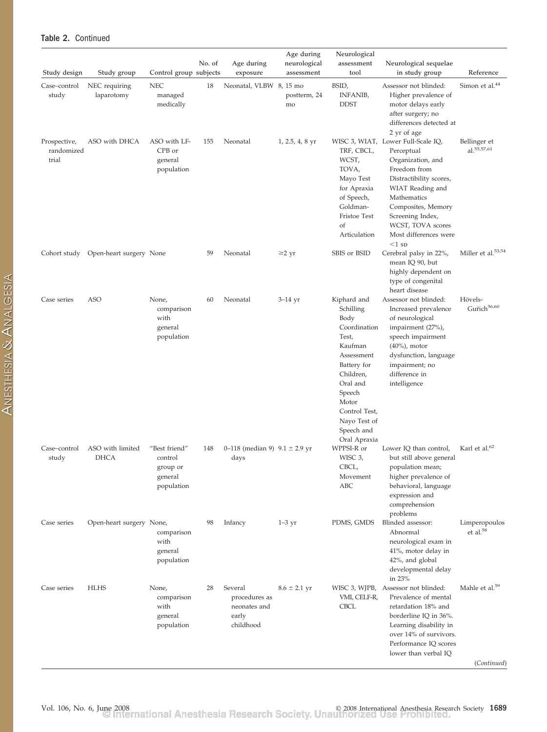# Table 2. Continued

| Study design                        | Study group                     | Control group subjects                                        | No. of | Age during<br>exposure                                         | Age during<br>neurological<br>assessment | Neurological<br>assessment<br>tool                                                                                                                                                                           | Neurological sequelae<br>in study group                                                                                                                                                                                                                | Reference                                 |
|-------------------------------------|---------------------------------|---------------------------------------------------------------|--------|----------------------------------------------------------------|------------------------------------------|--------------------------------------------------------------------------------------------------------------------------------------------------------------------------------------------------------------|--------------------------------------------------------------------------------------------------------------------------------------------------------------------------------------------------------------------------------------------------------|-------------------------------------------|
| Case-control<br>study               | NEC requiring<br>laparotomy     | <b>NEC</b><br>managed<br>medically                            | 18     | Neonatal, VLBW 8, 15 mo                                        | postterm, 24<br>mo                       | BSID,<br><b>INFANIB</b> ,<br><b>DDST</b>                                                                                                                                                                     | Assessor not blinded:<br>Higher prevalence of<br>motor delays early<br>after surgery; no<br>differences detected at<br>2 yr of age                                                                                                                     | Simon et al. <sup>44</sup>                |
| Prospective,<br>randomized<br>trial | ASO with DHCA                   | ASO with LF-<br>CPB or<br>general<br>population               | 155    | Neonatal                                                       | 1, 2.5, 4, 8 yr                          | TRF, CBCL,<br>WCST,<br>TOVA,<br>Mayo Test<br>for Apraxia<br>of Speech,<br>Goldman-<br>Fristoe Test<br>of<br>Articulation                                                                                     | WISC 3, WIAT, Lower Full-Scale IQ,<br>Perceptual<br>Organization, and<br>Freedom from<br>Distractibility scores,<br>WIAT Reading and<br>Mathematics<br>Composites, Memory<br>Screening Index,<br>WCST, TOVA scores<br>Most differences were<br>$<1$ sp | Bellinger et<br>al. <sup>55,57,61</sup>   |
| Cohort study                        | Open-heart surgery None         |                                                               | 59     | Neonatal                                                       | $≥2$ yr                                  | SBIS or BSID                                                                                                                                                                                                 | Cerebral palsy in 22%,<br>mean IQ 90, but<br>highly dependent on<br>type of congenital<br>heart disease                                                                                                                                                | Miller et al. $53,54$                     |
| Case series                         | <b>ASO</b>                      | None,<br>comparison<br>with<br>general<br>population          | 60     | Neonatal                                                       | 3-14 yr                                  | Kiphard and<br>Schilling<br>Body<br>Coordination<br>Test,<br>Kaufman<br>Assessment<br>Battery for<br>Children,<br>Oral and<br>Speech<br>Motor<br>Control Test,<br>Nayo Test of<br>Speech and<br>Oral Apraxia | Assessor not blinded:<br>Increased prevalence<br>of neurological<br>impairment (27%),<br>speech impairment<br>$(40\%)$ , motor<br>dysfunction, language<br>impairment; no<br>difference in<br>intelligence                                             | Hövels-<br>Gurich <sup>56,60</sup>        |
| Case–control<br>study               | ASO with limited<br><b>DHCA</b> | "Best friend"<br>control<br>group or<br>general<br>population | 148    | 0–118 (median 9) $9.1 \pm 2.9$ yr<br>days                      |                                          | WPPSI-R or<br>WISC 3,<br>CBCL,<br>Movement<br><b>ABC</b>                                                                                                                                                     | Lower IQ than control,<br>but still above general<br>population mean;<br>higher prevalence of<br>behavioral, language<br>expression and<br>comprehension<br>problems                                                                                   | Karl et al. <sup>62</sup>                 |
| Case series                         | Open-heart surgery None,        | comparison<br>with<br>general<br>population                   | 98     | Infancy                                                        | $1-3$ yr                                 | PDMS, GMDS                                                                                                                                                                                                   | Blinded assessor:<br>Abnormal<br>neurological exam in<br>41%, motor delay in<br>42%, and global<br>developmental delay<br>in 23%                                                                                                                       | Limperopoulos<br>et al. $58$              |
| Case series                         | <b>HLHS</b>                     | None,<br>comparison<br>with<br>general<br>population          | 28     | Several<br>procedures as<br>neonates and<br>early<br>childhood | $8.6 \pm 2.1$ yr                         | VMI, CELF-R,<br><b>CBCL</b>                                                                                                                                                                                  | WISC 3, WJPB, Assessor not blinded:<br>Prevalence of mental<br>retardation 18% and<br>borderline IQ in 36%.<br>Learning disability in<br>over 14% of survivors.<br>Performance IQ scores<br>lower than verbal IQ                                       | Mahle et al. <sup>59</sup><br>(Continued) |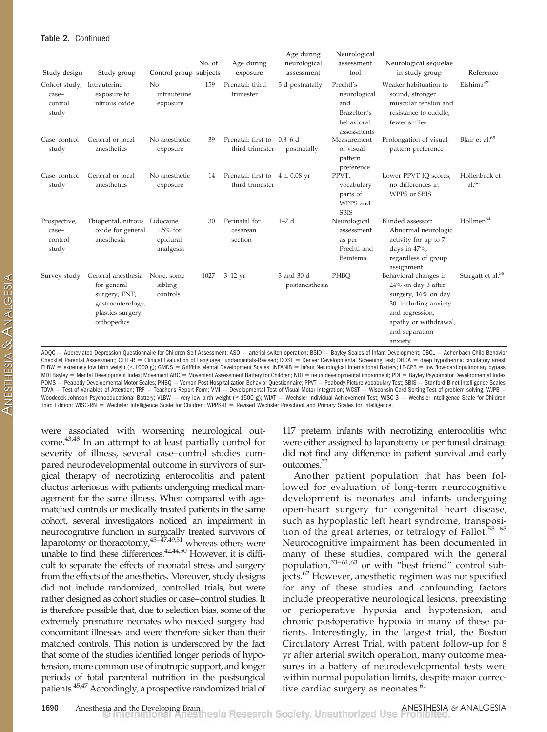| Study design                               | Study group                                                                                                 | Control group subjects                     | No. of | Age during<br>exposure                                | Age during<br>neurological<br>assessment | Neurological<br>assessment<br>tool                                           | Neurological sequelae<br>in study group                                                                                                                              | Reference                          |
|--------------------------------------------|-------------------------------------------------------------------------------------------------------------|--------------------------------------------|--------|-------------------------------------------------------|------------------------------------------|------------------------------------------------------------------------------|----------------------------------------------------------------------------------------------------------------------------------------------------------------------|------------------------------------|
| Cohort study,<br>case-<br>control<br>study | Intrauterine<br>exposure to<br>nitrous oxide                                                                | N <sub>0</sub><br>intrauterine<br>exposure | 159    | Prenatal: third<br>trimester                          | 5 d postnatally                          | Prechtl's<br>neurological<br>and<br>Brazelton's<br>behavioral<br>assessments | Weaker habituation to<br>sound, stronger<br>muscular tension and<br>resistance to cuddle,<br>fewer smiles                                                            | Eishima <sup>67</sup>              |
| Case-control<br>study                      | General or local<br>anesthetics                                                                             | No anesthetic<br>exposure                  | 39     | Prenatal: first to<br>third trimester                 | $0.8-6d$<br>postnatally                  | Measurement<br>of visual-<br>pattern<br>preference                           | Prolongation of visual-<br>pattern preference                                                                                                                        | Blair et al. <sup>65</sup>         |
| Case-control<br>study                      | General or local<br>anesthetics                                                                             | No anesthetic<br>exposure                  | 14     | Prenatal: first to $4 \pm 0.08$ yr<br>third trimester |                                          | PPVT,<br>vocabulary<br>parts of<br>WPPS and<br><b>SBIS</b>                   | Lower PPVT IQ scores,<br>no differences in<br>WPPS or SBIS                                                                                                           | Hollenbeck et<br>al. <sup>66</sup> |
| Prospective,<br>case-<br>control<br>study  | Thiopental, nitrous Lidocaine<br>oxide for general<br>anesthesia                                            | $1.5\%$ for<br>epidural<br>analgesia       | 30     | Perinatal for<br>cesarean<br>section                  | $1-7d$                                   | Neurological<br>assessment<br>as per<br>Prechtl and<br>Beintema              | Blinded assessor:<br>Abnormal neurologic<br>activity for up to 7<br>days in 47%,<br>regardless of group<br>assignment                                                | $H$ ollmen $64$                    |
| Survey study                               | General anesthesia<br>for general<br>surgery, ENT,<br>gastroenterology,<br>plastics surgery,<br>orthopedics | None, some<br>sibling<br>controls          | 1027   | $3-12$ yr                                             | 3 and 30 d<br>postanesthesia             | PHBO                                                                         | Behavioral changes in<br>24% on day 3 after<br>surgery, 16% on day<br>30, including anxiety<br>and regression,<br>apathy or withdrawal,<br>and separation<br>anxiety | Stargatt et al. <sup>38</sup>      |

ADQC = Abbreviated Depression Questionnaire for Children Self Assessment; ASO = arterial switch operation; BSID = Bayley Scales of Infant Development; CBCL = Achenbach Child Behavior Checklist Parental Assessment; CELF-R = Clinical Evaluation of Language Fundamentals-Revised; DDST = Denver Developmental Screening Test; DHCA = deep hypothermic circulatory arrest; ELBW = extremely low birth weight (<1000 g); GMDS = Griffiths Mental Development Scales; INFANIB = Infant Neurological International Battery; LF-CPB = low flow-cardiopulmonary bypass; MDI Bayley = Mental Development Index; Movement ABC = Movement Assessment Battery for Children; NDI = neurodevelopmental impairment; PDI = Bayley Psycomotor Developmental Index; PDMS = Peabody Developmental Motor Scales; PHBQ = Vernon Post Hospitalization Behavior Questionnaire; PPVT = Peabody Picture Vocabulary Test; SBIS = Stanford-Binet Intelligence Scales; TOVA = Test of Variables of Attention; TRF = Teacher's Report Form; VMI = Developmental Test of Visual Motor Integration; WCST = Wisconsin Card Sorting Test of problem solving; WJPB = Woodcock-Johnson Psychoeducational Battery; VLBW = very low birth weight (≤1500 g); WIAT = Wechsler Individual Achievement Test; WISC 3 = Wechsler Intelligence Scale for Children, Third Edition; WISC-RN = Wechsler Intelligence Scale for Children; WPPS-R = Revised Wechsler Preschool and Primary Scales for Intelligence.

were associated with worsening neurological outcome.43,48 In an attempt to at least partially control for severity of illness, several case–control studies compared neurodevelopmental outcome in survivors of surgical therapy of necrotizing enterocolitis and patent ductus arteriosus with patients undergoing medical management for the same illness. When compared with agematched controls or medically treated patients in the same cohort, several investigators noticed an impairment in neurocognitive function in surgically treated survivors of laparotomy or thoracotomy, $45-\frac{47}{47}$ , whereas others were unable to find these differences. $42,44,50$  However, it is difficult to separate the effects of neonatal stress and surgery from the effects of the anesthetics. Moreover, study designs did not include randomized, controlled trials, but were rather designed as cohort studies or case–control studies. It is therefore possible that, due to selection bias, some of the extremely premature neonates who needed surgery had concomitant illnesses and were therefore sicker than their matched controls. This notion is underscored by the fact that some of the studies identified longer periods of hypotension, more common use of inotropic support, and longer periods of total parenteral nutrition in the postsurgical patients.<sup>45,47</sup> Accordingly, a prospective randomized trial of 117 preterm infants with necrotizing enterocolitis who were either assigned to laparotomy or peritoneal drainage did not find any difference in patient survival and early outcomes.<sup>52</sup>

Another patient population that has been followed for evaluation of long-term neurocognitive development is neonates and infants undergoing open-heart surgery for congenital heart disease, such as hypoplastic left heart syndrome, transposition of the great arteries, or tetralogy of Fallot. $53-63$ Neurocognitive impairment has been documented in many of these studies, compared with the general population,<sup>53-61,63</sup> or with "best friend" control subjects.<sup>62</sup> However, anesthetic regimen was not specified for any of these studies and confounding factors include preoperative neurological lesions, preexisting or perioperative hypoxia and hypotension, and chronic postoperative hypoxia in many of these patients. Interestingly, in the largest trial, the Boston Circulatory Arrest Trial, with patient follow-up for 8 yr after arterial switch operation, many outcome measures in a battery of neurodevelopmental tests were within normal population limits, despite major corrective cardiac surgery as neonates. $61$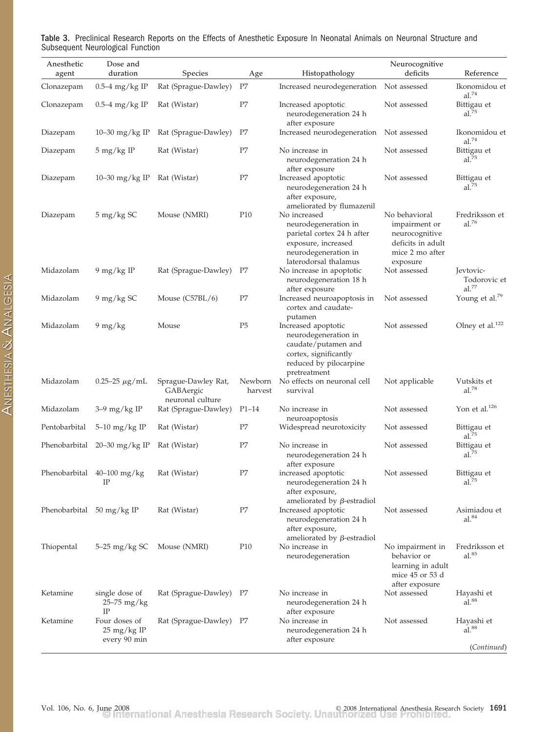| Anesthetic<br>agent                 | Dose and<br>duration                                   | <b>Species</b>                                       | Age                | Histopathology                                                                                                                             | Neurocognitive<br>deficits                                                                           | Reference                          |
|-------------------------------------|--------------------------------------------------------|------------------------------------------------------|--------------------|--------------------------------------------------------------------------------------------------------------------------------------------|------------------------------------------------------------------------------------------------------|------------------------------------|
| Clonazepam                          | $0.5-4$ mg/kg IP                                       | Rat (Sprague-Dawley)                                 | P7                 | Increased neurodegeneration                                                                                                                | Not assessed                                                                                         | Ikonomidou et<br>$al.^{74}$        |
| Clonazepam                          | $0.5-4$ mg/kg IP                                       | Rat (Wistar)                                         | P7                 | Increased apoptotic<br>neurodegeneration 24 h<br>after exposure                                                                            | Not assessed                                                                                         | Bittigau et<br>al.75               |
| Diazepam                            | $10-30$ mg/kg IP                                       | Rat (Sprague-Dawley)                                 | P7                 | Increased neurodegeneration Not assessed                                                                                                   |                                                                                                      | Ikonomidou et<br>$al.^{74}$        |
| Diazepam                            | $5 \text{ mg/kg}$ IP                                   | Rat (Wistar)                                         | P7                 | No increase in<br>neurodegeneration 24 h<br>after exposure                                                                                 | Not assessed                                                                                         | Bittigau et<br>$al.^{75}$          |
| Diazepam                            | $10-30$ mg/kg IP                                       | Rat (Wistar)                                         | P7                 | Increased apoptotic<br>neurodegeneration 24 h<br>after exposure,<br>ameliorated by flumazenil                                              | Not assessed                                                                                         | Bittigau et<br>$al.$ <sup>75</sup> |
| Diazepam                            | 5 mg/kg SC                                             | Mouse (NMRI)                                         | P10                | No increased<br>neurodegeneration in<br>parietal cortex 24 h after<br>exposure, increased<br>neurodegeneration in<br>laterodorsal thalamus | No behavioral<br>impairment or<br>neurocognitive<br>deficits in adult<br>mice 2 mo after<br>exposure | Fredriksson et<br>al.76            |
| Midazolam                           | 9 mg/kg IP                                             | Rat (Sprague-Dawley)                                 | P7                 | No increase in apoptotic<br>neurodegeneration 18 h<br>after exposure                                                                       | Not assessed                                                                                         | Jevtovic-<br>Todorovic et<br>al.77 |
| Midazolam                           | $9 \text{ mg/kg}$ SC                                   | Mouse $(C57BL/6)$                                    | P7                 | Increased neuroapoptosis in<br>cortex and caudate-<br>putamen                                                                              | Not assessed                                                                                         | Young et al. <sup>79</sup>         |
| Midazolam                           | $9 \frac{\text{mg}}{\text{kg}}$                        | Mouse                                                | P <sub>5</sub>     | Increased apoptotic<br>neurodegeneration in<br>caudate/putamen and<br>cortex, significantly<br>reduced by pilocarpine<br>pretreatment      | Not assessed                                                                                         | Olney et al. <sup>122</sup>        |
| Midazolam                           | 0.25-25 $\mu$ g/mL                                     | Sprague-Dawley Rat,<br>GABAergic<br>neuronal culture | Newborn<br>harvest | No effects on neuronal cell<br>survival                                                                                                    | Not applicable                                                                                       | Vutskits et<br>$al.$ <sup>78</sup> |
| Midazolam                           | $3-9$ mg/kg IP                                         | Rat (Sprague-Dawley)                                 | $P1 - 14$          | No increase in<br>neuroapoptosis                                                                                                           | Not assessed                                                                                         | Yon et al. <sup>126</sup>          |
| Pentobarbital                       | 5-10 mg/kg IP                                          | Rat (Wistar)                                         | P7                 | Widespread neurotoxicity                                                                                                                   | Not assessed                                                                                         | Bittigau et<br>$al.^{75}$          |
| Phenobarbital                       | 20-30 mg/kg IP                                         | Rat (Wistar)                                         | P7                 | No increase in<br>neurodegeneration 24 h<br>after exposure                                                                                 | Not assessed                                                                                         | Bittigau et<br>al.75               |
|                                     | Phenobarbital 40-100 mg/kg<br>IP                       | Rat (Wistar)                                         | P7                 | increased apoptotic<br>neurodegeneration 24 h<br>after exposure,<br>ameliorated by $\beta$ -estradiol                                      | Not assessed                                                                                         | Bittigau et<br>$al.$ <sup>75</sup> |
| Phenobarbital $50 \text{ mg/kg}$ IP |                                                        | Rat (Wistar)                                         | P7                 | Increased apoptotic<br>neurodegeneration 24 h<br>after exposure,<br>ameliorated by $\beta$ -estradiol                                      | Not assessed                                                                                         | Asimiadou et<br>$al.^{84}$         |
| Thiopental                          | $5-25$ mg/kg SC                                        | Mouse (NMRI)                                         | P <sub>10</sub>    | No increase in<br>neurodegeneration                                                                                                        | No impairment in<br>behavior or<br>learning in adult<br>mice 45 or 53 d<br>after exposure            | Fredriksson et<br>$al.^{85}$       |
| Ketamine                            | single dose of<br>$25 - 75$ mg/kg<br>IP                | Rat (Sprague-Dawley) P7                              |                    | No increase in<br>neurodegeneration 24 h<br>after exposure                                                                                 | Not assessed                                                                                         | Hayashi et<br>$al.^{88}$           |
| Ketamine                            | Four doses of<br>$25 \text{ mg/kg}$ IP<br>every 90 min | Rat (Sprague-Dawley) P7                              |                    | No increase in<br>neurodegeneration 24 h<br>after exposure                                                                                 | Not assessed                                                                                         | Hayashi et<br>$al.^{88}$           |
|                                     |                                                        |                                                      |                    |                                                                                                                                            |                                                                                                      | (Continued)                        |

Table 3. Preclinical Research Reports on the Effects of Anesthetic Exposure In Neonatal Animals on Neuronal Structure and Subsequent Neurological Function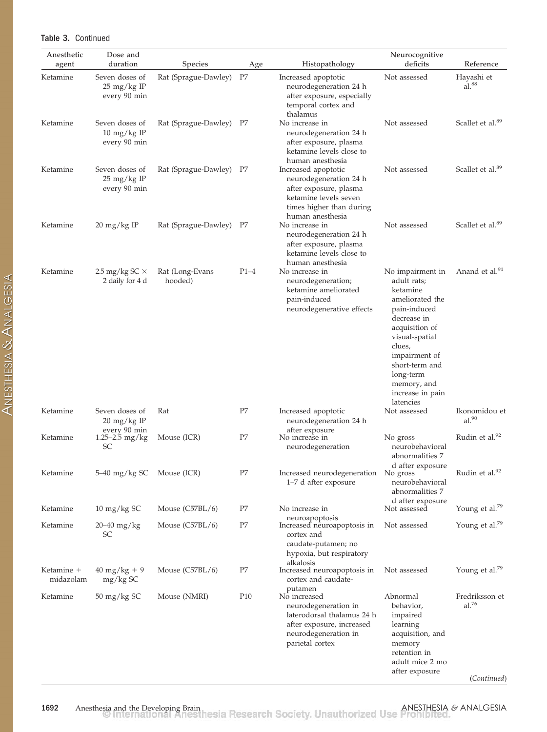| Table 3. | Continued |
|----------|-----------|
|----------|-----------|

| Anesthetic<br>agent     | Dose and<br>duration                                    | <b>Species</b>             | Age             | Histopathology                                                                                                                                        | Neurocognitive<br>deficits                                                                                                                                                                                                                  | Reference                                   |
|-------------------------|---------------------------------------------------------|----------------------------|-----------------|-------------------------------------------------------------------------------------------------------------------------------------------------------|---------------------------------------------------------------------------------------------------------------------------------------------------------------------------------------------------------------------------------------------|---------------------------------------------|
| Ketamine                | Seven doses of                                          | Rat (Sprague-Dawley) P7    |                 | Increased apoptotic                                                                                                                                   | Not assessed                                                                                                                                                                                                                                | Hayashi et                                  |
|                         | $25 \text{ mg/kg}$ IP<br>every 90 min                   |                            |                 | neurodegeneration 24 h<br>after exposure, especially<br>temporal cortex and<br>thalamus                                                               |                                                                                                                                                                                                                                             | $al.^{88}$                                  |
| Ketamine                | Seven doses of<br>$10$ mg/kg IP<br>every 90 min         | Rat (Sprague-Dawley) P7    |                 | No increase in<br>neurodegeneration 24 h<br>after exposure, plasma<br>ketamine levels close to<br>human anesthesia                                    | Not assessed                                                                                                                                                                                                                                | Scallet et al. <sup>89</sup>                |
| Ketamine                | Seven doses of<br>$25 \text{ mg/kg}$ IP<br>every 90 min | Rat (Sprague-Dawley) P7    |                 | Increased apoptotic<br>neurodegeneration 24 h<br>after exposure, plasma<br>ketamine levels seven<br>times higher than during<br>human anesthesia      | Not assessed                                                                                                                                                                                                                                | Scallet et al. <sup>89</sup>                |
| Ketamine                | $20 \text{ mg/kg}$ IP                                   | Rat (Sprague-Dawley) P7    |                 | No increase in<br>neurodegeneration 24 h<br>after exposure, plasma<br>ketamine levels close to<br>human anesthesia                                    | Not assessed                                                                                                                                                                                                                                | Scallet et al. <sup>89</sup>                |
| Ketamine                | 2.5 mg/kg SC $\times$<br>2 daily for 4 d                | Rat (Long-Evans<br>hooded) | $P1-4$          | No increase in<br>neurodegeneration;<br>ketamine ameliorated<br>pain-induced<br>neurodegenerative effects                                             | No impairment in<br>adult rats;<br>ketamine<br>ameliorated the<br>pain-induced<br>decrease in<br>acquisition of<br>visual-spatial<br>clues,<br>impairment of<br>short-term and<br>long-term<br>memory, and<br>increase in pain<br>latencies | Anand et al. <sup>91</sup>                  |
| Ketamine                | Seven doses of<br>$20 \text{ mg/kg}$ IP<br>every 90 min | Rat                        | P7              | Increased apoptotic<br>neurodegeneration 24 h<br>after exposure                                                                                       | Not assessed                                                                                                                                                                                                                                | Ikonomidou et<br>$al.^{90}$                 |
| Ketamine                | 1.25–2.5 mg/kg<br>SC                                    | Mouse (ICR)                | P7              | No increase in<br>neurodegeneration                                                                                                                   | No gross<br>neurobehavioral<br>abnormalities 7<br>d after exposure                                                                                                                                                                          | Rudin et al. <sup>92</sup>                  |
| Ketamine                | 5–40 mg/kg SC                                           | Mouse (ICR)                | P7              | Increased neurodegeneration<br>1-7 d after exposure                                                                                                   | No gross<br>neurobehavioral<br>abnormalities 7<br>d after exposure                                                                                                                                                                          | Rudin et al.92                              |
| Ketamine                | $10 \text{ mg/kg}$ SC                                   | Mouse $(C57BL/6)$          | P7              | No increase in<br>neuroapoptosis                                                                                                                      | Not assessed                                                                                                                                                                                                                                | Young et al. <sup>79</sup>                  |
| Ketamine                | $20 - 40$ mg/kg<br>SС                                   | Mouse $(C57BL/6)$          | P7              | Increased neuroapoptosis in<br>cortex and<br>caudate-putamen; no<br>hypoxia, but respiratory<br>alkalosis                                             | Not assessed                                                                                                                                                                                                                                | Young et al. <sup>79</sup>                  |
| Ketamine +<br>midazolam | $40 \text{ mg/kg} + 9$<br>$mg/kg$ SC                    | Mouse $(C57BL/6)$          | P7              | Increased neuroapoptosis in<br>cortex and caudate-                                                                                                    | Not assessed                                                                                                                                                                                                                                | Young et al. <sup>79</sup>                  |
| Ketamine                | $50 \text{ mg/kg}$ SC                                   | Mouse (NMRI)               | P <sub>10</sub> | putamen<br>No increased<br>neurodegeneration in<br>laterodorsal thalamus 24 h<br>after exposure, increased<br>neurodegeneration in<br>parietal cortex | Abnormal<br>behavior,<br>impaired<br>learning<br>acquisition, and<br>memory<br>retention in<br>adult mice 2 mo<br>after exposure                                                                                                            | Fredriksson et<br>$al.^{76}$<br>(Continued) |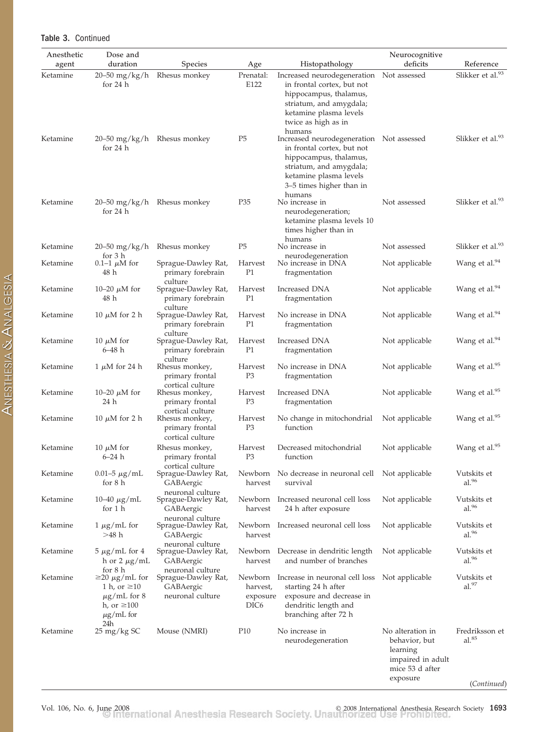| Anesthetic | Dose and                                                                                                      |                                                                           |                                          |                                                                                                                                                                                | Neurocognitive                                                                                    |                                           |
|------------|---------------------------------------------------------------------------------------------------------------|---------------------------------------------------------------------------|------------------------------------------|--------------------------------------------------------------------------------------------------------------------------------------------------------------------------------|---------------------------------------------------------------------------------------------------|-------------------------------------------|
| agent      | duration                                                                                                      | <b>Species</b>                                                            | Age                                      | Histopathology                                                                                                                                                                 | deficits                                                                                          | Reference<br>Slikker et al. <sup>93</sup> |
| Ketamine   | $20 - 50$ mg/kg/h<br>for 24 h                                                                                 | Rhesus monkey                                                             | Prenatal:<br>E122                        | Increased neurodegeneration<br>in frontal cortex, but not<br>hippocampus, thalamus,<br>striatum, and amygdala;<br>ketamine plasma levels<br>twice as high as in                | Not assessed                                                                                      |                                           |
| Ketamine   | 20–50 mg/kg/h<br>for $24h$                                                                                    | Rhesus monkey                                                             | P <sub>5</sub>                           | humans<br>Increased neurodegeneration<br>in frontal cortex, but not<br>hippocampus, thalamus,<br>striatum, and amygdala;<br>ketamine plasma levels<br>3-5 times higher than in | Not assessed                                                                                      | Slikker et al.93                          |
| Ketamine   | 20–50 mg/kg/h<br>for $24h$                                                                                    | Rhesus monkey                                                             | P <sub>35</sub>                          | humans<br>No increase in<br>neurodegeneration;<br>ketamine plasma levels 10<br>times higher than in<br>humans                                                                  | Not assessed                                                                                      | Slikker et al. <sup>93</sup>              |
| Ketamine   | $20 - 50$ mg/kg/h<br>for 3 h                                                                                  | Rhesus monkey                                                             | P <sub>5</sub>                           | No increase in<br>neurodegeneration                                                                                                                                            | Not assessed                                                                                      | Slikker et al.93                          |
| Ketamine   | 0.1-1 $\mu$ M for<br>48 h                                                                                     | Sprague-Dawley Rat,<br>primary forebrain<br>culture                       | Harvest<br>P <sub>1</sub>                | No increase in DNA<br>fragmentation                                                                                                                                            | Not applicable                                                                                    | Wang et al. <sup>94</sup>                 |
| Ketamine   | 10-20 $\mu$ M for<br>48 h                                                                                     | Sprague-Dawley Rat,<br>primary forebrain<br>culture                       | Harvest<br>P <sub>1</sub>                | Increased DNA<br>fragmentation                                                                                                                                                 | Not applicable                                                                                    | Wang et al. <sup>94</sup>                 |
| Ketamine   | 10 $\mu$ M for 2 h                                                                                            | Sprague-Dawley Rat,<br>primary forebrain<br>culture                       | Harvest<br>P <sub>1</sub>                | No increase in DNA<br>fragmentation                                                                                                                                            | Not applicable                                                                                    | Wang et al. <sup>94</sup>                 |
| Ketamine   | 10 $\mu$ M for<br>$6-48h$                                                                                     | Sprague-Dawley Rat,<br>primary forebrain                                  | Harvest<br>P <sub>1</sub>                | Increased DNA<br>fragmentation                                                                                                                                                 | Not applicable                                                                                    | Wang et al. <sup>94</sup>                 |
| Ketamine   | $1 \mu M$ for 24 h                                                                                            | culture<br>Rhesus monkey,<br>primary frontal                              | Harvest<br>P <sub>3</sub>                | No increase in DNA<br>fragmentation                                                                                                                                            | Not applicable                                                                                    | Wang et al. <sup>95</sup>                 |
| Ketamine   | 10–20 $\mu$ M for<br>24 h                                                                                     | cortical culture<br>Rhesus monkey,<br>primary frontal                     | Harvest<br>P <sub>3</sub>                | Increased DNA<br>fragmentation                                                                                                                                                 | Not applicable                                                                                    | Wang et al. <sup>95</sup>                 |
| Ketamine   | 10 $\mu$ M for 2 h                                                                                            | cortical culture<br>Rhesus monkey,<br>primary frontal<br>cortical culture | Harvest<br>P <sub>3</sub>                | No change in mitochondrial<br>function                                                                                                                                         | Not applicable                                                                                    | Wang et al. <sup>95</sup>                 |
| Ketamine   | 10 $\mu$ M for<br>6–24 h                                                                                      | Rhesus monkey,<br>primary frontal                                         | Harvest<br>P <sub>3</sub>                | Decreased mitochondrial<br>function                                                                                                                                            | Not applicable                                                                                    | Wang et al. <sup>95</sup>                 |
| Ketamine   | 0.01–5 $\mu$ g/mL<br>for 8 h                                                                                  | cortical culture<br>Sprague-Dawley Rat,<br>GABAergic                      | harvest                                  | Newborn No decrease in neuronal cell Not applicable<br>survival                                                                                                                |                                                                                                   | Vutskits et<br>$al.^{96}$                 |
| Ketamine   | 10-40 $\mu$ g/mL<br>for 1 h                                                                                   | neuronal culture<br>Sprague-Dawley Rat,<br>GABAergic                      | Newborn<br>harvest                       | Increased neuronal cell loss<br>24 h after exposure                                                                                                                            | Not applicable                                                                                    | Vutskits et<br>$al.^{96}$                 |
| Ketamine   | $1 \mu g/mL$ for<br>>48 h                                                                                     | neuronal culture<br>Sprague-Dawley Rat,<br>GABAergic                      | harvest                                  | Newborn Increased neuronal cell loss                                                                                                                                           | Not applicable                                                                                    | Vutskits et<br>$al.^{96}$                 |
| Ketamine   | $5 \mu$ g/mL for 4<br>h or $2 \mu g/mL$                                                                       | neuronal culture<br>Sprague-Dawley Rat,<br>GABAergic                      | harvest                                  | Newborn Decrease in dendritic length<br>and number of branches                                                                                                                 | Not applicable                                                                                    | Vutskits et<br>al.96                      |
| Ketamine   | for 8 h<br>$\geq$ 20 µg/mL for<br>1 h, or $\geq 10$<br>$\mu$ g/mL for 8<br>h, or $\geq 100$<br>$\mu$ g/mL for | neuronal culture<br>Sprague-Dawley Rat,<br>GABAergic<br>neuronal culture  | harvest,<br>exposure<br>DIC <sub>6</sub> | Newborn Increase in neuronal cell loss<br>starting 24 h after<br>exposure and decrease in<br>dendritic length and<br>branching after 72 h                                      | Not applicable                                                                                    | Vutskits et<br>$\mathrm{al.}^{97}$        |
| Ketamine   | 24h<br>25 mg/kg SC                                                                                            | Mouse (NMRI)                                                              | P <sub>10</sub>                          | No increase in<br>neurodegeneration                                                                                                                                            | No alteration in<br>behavior, but<br>learning<br>impaired in adult<br>mice 53 d after<br>exposure | Fredriksson et<br>$al.^{85}$              |
|            |                                                                                                               |                                                                           |                                          |                                                                                                                                                                                |                                                                                                   | (Continued)                               |

Table 3. Continued

Vol. 106, No. 6, June 2008 Mernational Anesthesia Research Society. Unauthorized Use Anesthesia Research Society 1693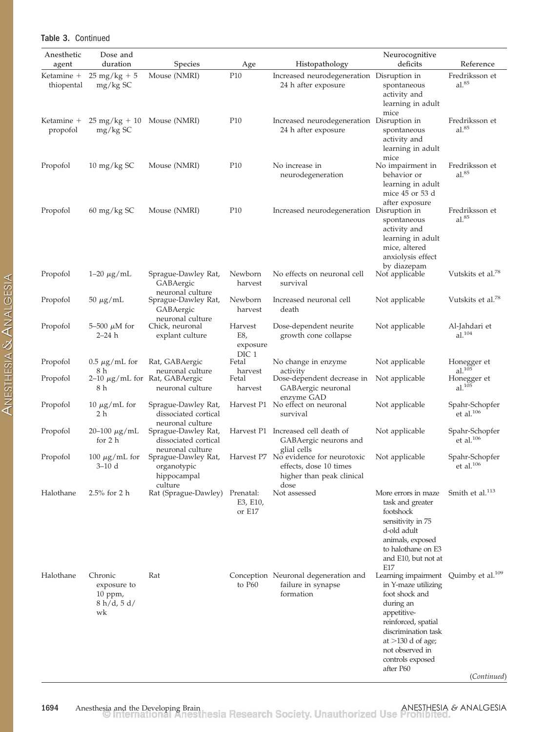| Anesthetic<br>agent      | Dose and<br>duration                                     | <b>Species</b>                                                             | Age                         | Histopathology                                                                                       | Neurocognitive<br>deficits                                                                                                                                                                                               | Reference                                   |
|--------------------------|----------------------------------------------------------|----------------------------------------------------------------------------|-----------------------------|------------------------------------------------------------------------------------------------------|--------------------------------------------------------------------------------------------------------------------------------------------------------------------------------------------------------------------------|---------------------------------------------|
| Ketamine +<br>thiopental | $25 \text{ mg/kg} + 5$<br>$mg/kg$ SC                     | Mouse (NMRI)                                                               | P10                         | Increased neurodegeneration Disruption in<br>24 h after exposure                                     | spontaneous<br>activity and<br>learning in adult                                                                                                                                                                         | Fredriksson et<br>$al.^{85}$                |
| Ketamine +<br>propofol   | $25 \text{ mg/kg} + 10$ Mouse (NMRI)<br>$mg/kg$ SC       |                                                                            | P10                         | Increased neurodegeneration Disruption in<br>24 h after exposure                                     | mice<br>spontaneous<br>activity and<br>learning in adult<br>mice                                                                                                                                                         | Fredriksson et<br>$al.^{85}$                |
| Propofol                 | $10 \text{ mg/kg}$ SC                                    | Mouse (NMRI)                                                               | P10                         | No increase in<br>neurodegeneration                                                                  | No impairment in<br>behavior or<br>learning in adult<br>mice 45 or 53 d                                                                                                                                                  | Fredriksson et<br>$al.^{85}$                |
| Propofol                 | $60 \text{ mg/kg}$ SC                                    | Mouse (NMRI)                                                               | P <sub>10</sub>             | Increased neurodegeneration Disruption in                                                            | after exposure<br>spontaneous<br>activity and<br>learning in adult<br>mice, altered<br>anxiolysis effect<br>by diazepam                                                                                                  | Fredriksson et<br>$al.^{85}$                |
| Propofol                 | $1-20 \mu g/mL$                                          | Sprague-Dawley Rat,<br>GABAergic<br>neuronal culture                       | Newborn<br>harvest          | No effects on neuronal cell<br>survival                                                              | Not applicable                                                                                                                                                                                                           | Vutskits et al. <sup>78</sup>               |
| Propofol                 | $50 \mu g/mL$                                            | Sprague-Dawley Rat,<br>GABAergic                                           | Newborn<br>harvest          | Increased neuronal cell<br>death                                                                     | Not applicable                                                                                                                                                                                                           | Vutskits et al. <sup>78</sup>               |
| Propofol                 | 5–500 $\mu$ M for<br>2–24 h                              | neuronal culture<br>Chick, neuronal<br>explant culture                     | Harvest<br>E8,<br>exposure  | Dose-dependent neurite<br>growth cone collapse                                                       | Not applicable                                                                                                                                                                                                           | Al-Jahdari et<br>$al.^{104}$                |
| Propofol                 | $0.5 \mu g/mL$ for                                       | Rat, GABAergic                                                             | DIC <sub>1</sub><br>Fetal   | No change in enzyme                                                                                  | Not applicable                                                                                                                                                                                                           | Honegger et<br>$al.^{105}$                  |
| Propofol                 | 8 h<br>8 h                                               | neuronal culture<br>$2-10 \mu g/mL$ for Rat, GABAergic<br>neuronal culture | harvest<br>Fetal<br>harvest | activity<br>Dose-dependent decrease in<br>GABAergic neuronal<br>enzyme GAD                           | Not applicable                                                                                                                                                                                                           | Honegger et<br>$al.^{105}$                  |
| Propofol                 | 10 $\mu$ g/mL for<br>2 h                                 | Sprague-Dawley Rat,<br>dissociated cortical<br>neuronal culture            |                             | Harvest P1 No effect on neuronal<br>survival                                                         | Not applicable                                                                                                                                                                                                           | Spahr-Schopfer<br>et al. $^{106}\,$         |
| Propofol                 | 20-100 $\mu$ g/mL<br>for 2 h                             | Sprague-Dawley Rat,<br>dissociated cortical<br>neuronal culture            |                             | Harvest P1 Increased cell death of<br>GABAergic neurons and<br>glial cells                           | Not applicable                                                                                                                                                                                                           | Spahr-Schopfer<br>et al. $106$              |
| Propofol                 | $100 \mu g/mL$ for<br>$3-10d$                            | Sprague-Dawley Rat,<br>organotypic<br>hippocampal<br>culture               |                             | Harvest P7 No evidence for neurotoxic<br>effects, dose 10 times<br>higher than peak clinical<br>dose | Not applicable                                                                                                                                                                                                           | Spahr-Schopfer<br>et al. $^{\rm 106}$       |
| Halothane                | $2.5\%$ for 2 h                                          | Rat (Sprague-Dawley) Prenatal:                                             | E3, E10,<br>or E17          | Not assessed                                                                                         | More errors in maze<br>task and greater<br>footshock<br>sensitivity in 75<br>d-old adult<br>animals, exposed<br>to halothane on E3<br>and E10, but not at                                                                | Smith et al. <sup>113</sup>                 |
| Halothane                | Chronic<br>exposure to<br>$10$ ppm,<br>8 h/d, 5 d/<br>wk | Rat                                                                        | to P60                      | Conception Neuronal degeneration and<br>failure in synapse<br>formation                              | E17<br>Learning impairment<br>in Y-maze utilizing<br>foot shock and<br>during an<br>appetitive-<br>reinforced, spatial<br>discrimination task<br>at $>130$ d of age;<br>not observed in<br>controls exposed<br>after P60 | Quimby et al. <sup>109</sup><br>(Continued) |

Table 3. Continued

**ANESTHESIA & ANALGESIA**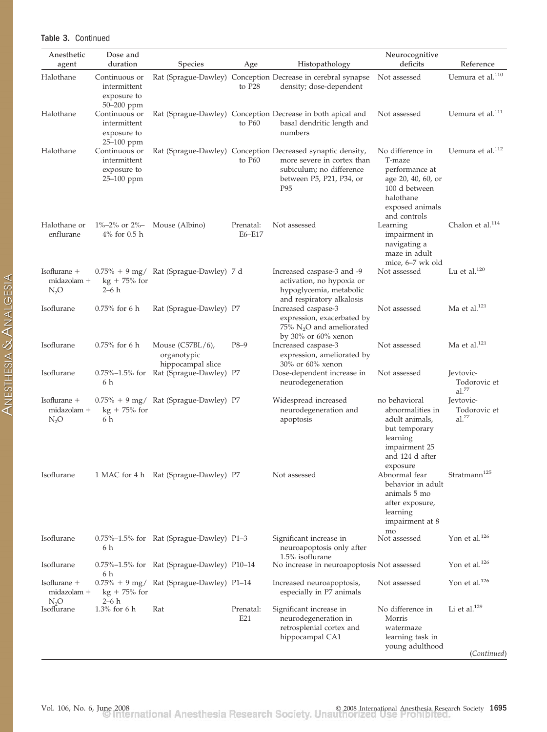|  |  | Table 3. Continued |
|--|--|--------------------|
|--|--|--------------------|

| Anesthetic<br>agent                               | Dose and<br>duration                                           | Species                                                 | Age                     | Histopathology                                                                                                                                           | Neurocognitive<br>deficits                                                                                                          | Reference                               |
|---------------------------------------------------|----------------------------------------------------------------|---------------------------------------------------------|-------------------------|----------------------------------------------------------------------------------------------------------------------------------------------------------|-------------------------------------------------------------------------------------------------------------------------------------|-----------------------------------------|
| Halothane                                         | Continuous or<br>intermittent<br>exposure to<br>50-200 ppm     |                                                         | to P <sub>28</sub>      | Rat (Sprague-Dawley) Conception Decrease in cerebral synapse<br>density; dose-dependent                                                                  | Not assessed                                                                                                                        | Uemura et al. <sup>110</sup>            |
| Halothane                                         | Continuous or<br>intermittent<br>exposure to<br>$25 - 100$ ppm |                                                         | to P60                  | Rat (Sprague-Dawley) Conception Decrease in both apical and<br>basal dendritic length and<br>numbers                                                     | Not assessed                                                                                                                        | Uemura et al. <sup>111</sup>            |
| Halothane                                         | Continuous or<br>intermittent<br>exposure to<br>$25 - 100$ ppm |                                                         | to P60                  | Rat (Sprague-Dawley) Conception Decreased synaptic density,<br>more severe in cortex than<br>subiculum; no difference<br>between P5, P21, P34, or<br>P95 | No difference in<br>T-maze<br>performance at<br>age 20, 40, 60, or<br>100 d between<br>halothane<br>exposed animals<br>and controls | Uemura et al. <sup>112</sup>            |
| Halothane or<br>enflurane                         | $1\% - 2\%$ or $2\% -$<br>$4\%$ for 0.5 h                      | Mouse (Albino)                                          | Prenatal:<br>$E6 - E17$ | Not assessed                                                                                                                                             | Learning<br>impairment in<br>navigating a<br>maze in adult<br>mice, 6–7 wk old                                                      | Chalon et al. <sup>114</sup>            |
| $Isoflurane +$<br>midazolam +<br>N <sub>2</sub> O | $kg + 75%$ for<br>2–6 h                                        | $0.75\% + 9$ mg/ Rat (Sprague-Dawley) 7 d               |                         | Increased caspase-3 and -9<br>activation, no hypoxia or<br>hypoglycemia, metabolic<br>and respiratory alkalosis                                          | Not assessed                                                                                                                        | Lu et al. $120$                         |
| Isoflurane                                        | $0.75\%$ for 6 h                                               | Rat (Sprague-Dawley) P7                                 |                         | Increased caspase-3<br>expression, exacerbated by<br>75% N <sub>2</sub> O and ameliorated<br>by 30% or 60% xenon                                         | Not assessed                                                                                                                        | Ma et al. $^{121}$                      |
| Isoflurane                                        | $0.75\%$ for 6 h                                               | Mouse $(C57BL/6)$ ,<br>organotypic<br>hippocampal slice | P8-9                    | Increased caspase-3<br>expression, ameliorated by<br>30% or 60% xenon                                                                                    | Not assessed                                                                                                                        | Ma et al. $121$                         |
| Isoflurane                                        | 6 h                                                            | 0.75%-1.5% for Rat (Sprague-Dawley) P7                  |                         | Dose-dependent increase in<br>neurodegeneration                                                                                                          | Not assessed                                                                                                                        | Jevtovic-<br>Todorovic et<br>$al.^{77}$ |
| $Isoflurane +$<br>midazolam +<br>N <sub>2</sub> O | $kg + 75%$ for<br>6 h                                          | $0.75\% + 9$ mg/ Rat (Sprague-Dawley) P7                |                         | Widespread increased<br>neurodegeneration and<br>apoptosis                                                                                               | no behavioral<br>abnormalities in<br>adult animals,<br>but temporary<br>learning<br>impairment 25<br>and 124 d after<br>exposure    | Jevtovic-<br>Todorovic et<br>$al.^{77}$ |
| Isoflurane                                        |                                                                | 1 MAC for 4 h Rat (Sprague-Dawley) P7                   |                         | Not assessed                                                                                                                                             | Abnormal fear<br>behavior in adult<br>animals 5 mo<br>after exposure,<br>learning<br>impairment at 8<br>mo                          | Stratmann <sup>125</sup>                |
| Isoflurane                                        | 6 h                                                            | 0.75%-1.5% for Rat (Sprague-Dawley) P1-3                |                         | Significant increase in<br>neuroapoptosis only after                                                                                                     | Not assessed                                                                                                                        | Yon et al. <sup>126</sup>               |
| Isoflurane                                        | 6 h                                                            | 0.75%–1.5% for Rat (Sprague-Dawley) P10–14              |                         | $1.5\%$ isoflurane<br>No increase in neuroapoptosis Not assessed                                                                                         |                                                                                                                                     | Yon et al. <sup>126</sup>               |
| $Isoflurane +$<br>midazolam +                     | $kg + 75%$ for                                                 | $0.75\% + 9$ mg/ Rat (Sprague-Dawley) P1-14             |                         | Increased neuroapoptosis,<br>especially in P7 animals                                                                                                    | Not assessed                                                                                                                        | Yon et al. <sup>126</sup>               |
| N <sub>2</sub> O<br>Isoflurane                    | 2–6 h<br>$1.3\%$ for 6 h                                       | Rat                                                     | Prenatal:<br>E21        | Significant increase in<br>neurodegeneration in<br>retrosplenial cortex and<br>hippocampal CA1                                                           | No difference in<br>Morris<br>watermaze<br>learning task in<br>young adulthood                                                      | Li et al. $129$<br>(Continued)          |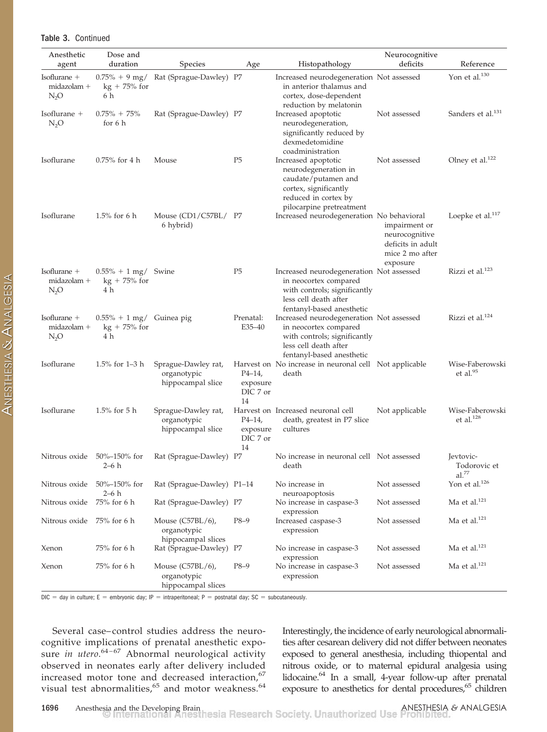| Anesthetic                                        | Dose and                                             |                                                          |                                      |                                                                                                                                                         | Neurocognitive                                                                      |                                    |
|---------------------------------------------------|------------------------------------------------------|----------------------------------------------------------|--------------------------------------|---------------------------------------------------------------------------------------------------------------------------------------------------------|-------------------------------------------------------------------------------------|------------------------------------|
| agent                                             | duration                                             | <b>Species</b>                                           | Age                                  | Histopathology                                                                                                                                          | deficits                                                                            | Reference                          |
| $Isoflurane +$<br>midazolam +<br>$N_2O$           | $0.75\% + 9$ mg/<br>$kg + 75%$ for<br>6 h            | Rat (Sprague-Dawley) P7                                  |                                      | Increased neurodegeneration Not assessed<br>in anterior thalamus and<br>cortex, dose-dependent<br>reduction by melatonin                                |                                                                                     | Yon et al. $^{130}$                |
| $Isoflurane +$<br>$N_2O$                          | $0.75\% + 75\%$<br>for 6 h                           | Rat (Sprague-Dawley) P7                                  |                                      | Increased apoptotic<br>neurodegeneration,<br>significantly reduced by<br>dexmedetomidine<br>coadministration                                            | Not assessed                                                                        | Sanders et al. <sup>131</sup>      |
| Isoflurane                                        | $0.75\%$ for 4 h                                     | Mouse                                                    | P <sub>5</sub>                       | Increased apoptotic<br>neurodegeneration in<br>caudate/putamen and<br>cortex, significantly<br>reduced in cortex by<br>pilocarpine pretreatment         | Not assessed                                                                        | Olney et al. <sup>122</sup>        |
| Isoflurane                                        | $1.5\%$ for 6 h                                      | Mouse $\left(\frac{CD1}{C57BL}\right)$ P7<br>6 hybrid)   |                                      | Increased neurodegeneration No behavioral                                                                                                               | impairment or<br>neurocognitive<br>deficits in adult<br>mice 2 mo after<br>exposure | Loepke et al. <sup>117</sup>       |
| $Isoflurane +$<br>midazolam +<br>N <sub>2</sub> O | $0.55\% + 1$ mg/ Swine<br>$kg$ + 75% for<br>4 h      |                                                          | P <sub>5</sub>                       | Increased neurodegeneration Not assessed<br>in neocortex compared<br>with controls; significantly<br>less cell death after<br>fentanyl-based anesthetic |                                                                                     | Rizzi et al. $^{123}$              |
| $Isoflurane +$<br>midazolam +<br>N <sub>2</sub> O | $0.55\% + 1$ mg/ Guinea pig<br>$kg + 75%$ for<br>4 h |                                                          | Prenatal:<br>E35-40                  | Increased neurodegeneration Not assessed<br>in neocortex compared<br>with controls; significantly<br>less cell death after<br>fentanyl-based anesthetic |                                                                                     | Rizzi et al. $^{124}$              |
| Isoflurane                                        | $1.5\%$ for 1–3 h                                    | Sprague-Dawley rat,<br>organotypic<br>hippocampal slice  | P4-14,<br>exposure<br>DIC 7 or<br>14 | Harvest on No increase in neuronal cell Not applicable<br>death                                                                                         |                                                                                     | Wise-Faberowski<br>et al. $^{95}$  |
| Isoflurane                                        | $1.5\%$ for 5 h                                      | Sprague-Dawley rat,<br>organotypic<br>hippocampal slice  | P4-14,<br>exposure<br>DIC 7 or<br>14 | Harvest on Increased neuronal cell<br>death, greatest in P7 slice<br>cultures                                                                           | Not applicable                                                                      | Wise-Faberowski<br>et al. $^{128}$ |
|                                                   | $2-6$ h                                              | Nitrous oxide 50%-150% for Rat (Sprague-Dawley) P7       |                                      | No increase in neuronal cell Not assessed<br>death                                                                                                      |                                                                                     | Jevtovic-<br>Todorovic et<br>al.77 |
| Nitrous oxide                                     | 50%-150% for<br>$2-6$ h                              | Rat (Sprague-Dawley) P1-14                               |                                      | No increase in<br>neuroapoptosis                                                                                                                        | Not assessed                                                                        | Yon et al. <sup>126</sup>          |
| Nitrous oxide                                     | 75% for 6 h                                          | Rat (Sprague-Dawley) P7                                  |                                      | No increase in caspase-3<br>expression                                                                                                                  | Not assessed                                                                        | Ma et al. $121$                    |
| Nitrous oxide                                     | 75% for 6 h                                          | Mouse $(C57BL/6)$ ,<br>organotypic<br>hippocampal slices | $P8-9$                               | Increased caspase-3<br>expression                                                                                                                       | Not assessed                                                                        | Ma et al. $121$                    |
| Xenon                                             | 75% for 6 h                                          | Rat (Sprague-Dawley) P7                                  |                                      | No increase in caspase-3<br>expression                                                                                                                  | Not assessed                                                                        | Ma et al. <sup>121</sup>           |
| Xenon                                             | 75% for 6 h                                          | Mouse $(C57BL/6)$ ,<br>organotypic<br>hippocampal slices | $P8-9$                               | No increase in caspase-3<br>expression                                                                                                                  | Not assessed                                                                        | Ma et al. <sup>121</sup>           |

 $DIC = day$  in culture;  $E =$  embryonic day; IP = intraperitoneal; P = postnatal day; SC = subcutaneously.

Several case– control studies address the neurocognitive implications of prenatal anesthetic exposure *in utero*.<sup>64-67</sup> Abnormal neurological activity observed in neonates early after delivery included increased motor tone and decreased interaction,<sup>67</sup> visual test abnormalities, $65$  and motor weakness. $64$ 

Interestingly, the incidence of early neurological abnormalities after cesarean delivery did not differ between neonates exposed to general anesthesia, including thiopental and nitrous oxide, or to maternal epidural analgesia using lidocaine.<sup>64</sup> In a small, 4-year follow-up after prenatal exposure to anesthetics for dental procedures,<sup>65</sup> children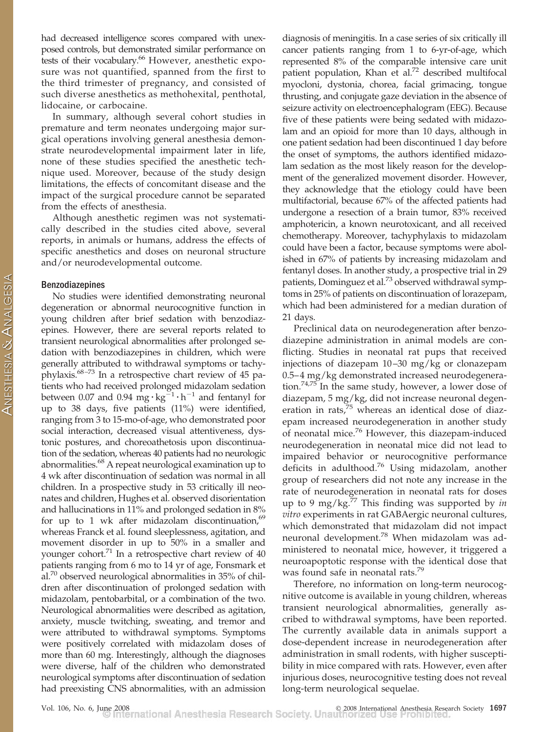had decreased intelligence scores compared with unexposed controls, but demonstrated similar performance on tests of their vocabulary.<sup>66</sup> However, anesthetic exposure was not quantified, spanned from the first to the third trimester of pregnancy, and consisted of such diverse anesthetics as methohexital, penthotal, lidocaine, or carbocaine.

In summary, although several cohort studies in premature and term neonates undergoing major surgical operations involving general anesthesia demonstrate neurodevelopmental impairment later in life, none of these studies specified the anesthetic technique used. Moreover, because of the study design limitations, the effects of concomitant disease and the impact of the surgical procedure cannot be separated from the effects of anesthesia.

Although anesthetic regimen was not systematically described in the studies cited above, several reports, in animals or humans, address the effects of specific anesthetics and doses on neuronal structure and/or neurodevelopmental outcome.

#### Benzodiazepines

No studies were identified demonstrating neuronal degeneration or abnormal neurocognitive function in young children after brief sedation with benzodiazepines. However, there are several reports related to transient neurological abnormalities after prolonged sedation with benzodiazepines in children, which were generally attributed to withdrawal symptoms or tachyphylaxis.68 –73 In a retrospective chart review of 45 patients who had received prolonged midazolam sedation between 0.07 and 0.94  $mg \cdot kg^{-1} \cdot h^{-1}$  and fentanyl for up to 38 days, five patients (11%) were identified, ranging from 3 to 15-mo-of-age, who demonstrated poor social interaction, decreased visual attentiveness, dystonic postures, and choreoathetosis upon discontinuation of the sedation, whereas 40 patients had no neurologic abnormalities.<sup>68</sup> A repeat neurological examination up to 4 wk after discontinuation of sedation was normal in all children. In a prospective study in 53 critically ill neonates and children, Hughes et al. observed disorientation and hallucinations in 11% and prolonged sedation in 8% for up to 1 wk after midazolam discontinuation, $69$ whereas Franck et al. found sleeplessness, agitation, and movement disorder in up to 50% in a smaller and younger cohort.<sup>71</sup> In a retrospective chart review of  $40$ patients ranging from 6 mo to 14 yr of age, Fonsmark et al.70 observed neurological abnormalities in 35% of children after discontinuation of prolonged sedation with midazolam, pentobarbital, or a combination of the two. Neurological abnormalities were described as agitation, anxiety, muscle twitching, sweating, and tremor and were attributed to withdrawal symptoms. Symptoms were positively correlated with midazolam doses of more than 60 mg. Interestingly, although the diagnoses were diverse, half of the children who demonstrated neurological symptoms after discontinuation of sedation had preexisting CNS abnormalities, with an admission

diagnosis of meningitis. In a case series of six critically ill cancer patients ranging from 1 to 6-yr-of-age, which represented 8% of the comparable intensive care unit patient population, Khan et al.<sup>72</sup> described multifocal myocloni, dystonia, chorea, facial grimacing, tongue thrusting, and conjugate gaze deviation in the absence of seizure activity on electroencephalogram (EEG). Because five of these patients were being sedated with midazolam and an opioid for more than 10 days, although in one patient sedation had been discontinued 1 day before the onset of symptoms, the authors identified midazolam sedation as the most likely reason for the development of the generalized movement disorder. However, they acknowledge that the etiology could have been multifactorial, because 67% of the affected patients had undergone a resection of a brain tumor, 83% received amphotericin, a known neurotoxicant, and all received chemotherapy. Moreover, tachyphylaxis to midazolam could have been a factor, because symptoms were abolished in 67% of patients by increasing midazolam and fentanyl doses. In another study, a prospective trial in 29 patients, Dominguez et al.<sup>73</sup> observed withdrawal symptoms in 25% of patients on discontinuation of lorazepam, which had been administered for a median duration of 21 days.

Preclinical data on neurodegeneration after benzodiazepine administration in animal models are conflicting. Studies in neonatal rat pups that received injections of diazepam 10 –30 mg/kg or clonazepam 0.5-4 mg/kg demonstrated increased neurodegeneration.74,75 In the same study, however, a lower dose of diazepam, 5 mg/kg, did not increase neuronal degeneration in rats,<sup>75</sup> whereas an identical dose of diazepam increased neurodegeneration in another study of neonatal mice.<sup>76</sup> However, this diazepam-induced neurodegeneration in neonatal mice did not lead to impaired behavior or neurocognitive performance deficits in adulthood.76 Using midazolam, another group of researchers did not note any increase in the rate of neurodegeneration in neonatal rats for doses up to 9 mg/kg.77 This finding was supported by *in vitro* experiments in rat GABAergic neuronal cultures, which demonstrated that midazolam did not impact neuronal development.<sup>78</sup> When midazolam was administered to neonatal mice, however, it triggered a neuroapoptotic response with the identical dose that was found safe in neonatal rats.<sup>79</sup>

Therefore, no information on long-term neurocognitive outcome is available in young children, whereas transient neurological abnormalities, generally ascribed to withdrawal symptoms, have been reported. The currently available data in animals support a dose-dependent increase in neurodegeneration after administration in small rodents, with higher susceptibility in mice compared with rats. However, even after injurious doses, neurocognitive testing does not reveal long-term neurological sequelae.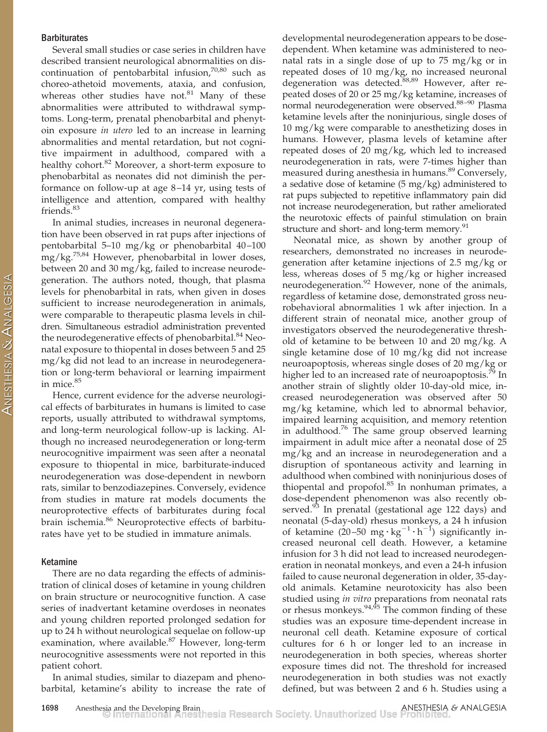#### **Barbiturates**

Several small studies or case series in children have described transient neurological abnormalities on discontinuation of pentobarbital infusion,70,80 such as choreo-athetoid movements, ataxia, and confusion, whereas other studies have not. $81$  Many of these abnormalities were attributed to withdrawal symptoms. Long-term, prenatal phenobarbital and phenytoin exposure *in utero* led to an increase in learning abnormalities and mental retardation, but not cognitive impairment in adulthood, compared with a healthy cohort.<sup>82</sup> Moreover, a short-term exposure to phenobarbital as neonates did not diminish the performance on follow-up at age  $8-14$  yr, using tests of intelligence and attention, compared with healthy friends.<sup>83</sup>

In animal studies, increases in neuronal degeneration have been observed in rat pups after injections of pentobarbital 5–10 mg/kg or phenobarbital 40 –100 mg/kg.75,84 However, phenobarbital in lower doses, between 20 and 30 mg/kg, failed to increase neurodegeneration. The authors noted, though, that plasma levels for phenobarbital in rats, when given in doses sufficient to increase neurodegeneration in animals, were comparable to therapeutic plasma levels in children. Simultaneous estradiol administration prevented the neurodegenerative effects of phenobarbital.<sup>84</sup> Neonatal exposure to thiopental in doses between 5 and 25 mg/kg did not lead to an increase in neurodegeneration or long-term behavioral or learning impairment in mice.<sup>85</sup>

Hence, current evidence for the adverse neurological effects of barbiturates in humans is limited to case reports, usually attributed to withdrawal symptoms, and long-term neurological follow-up is lacking. Although no increased neurodegeneration or long-term neurocognitive impairment was seen after a neonatal exposure to thiopental in mice, barbiturate-induced neurodegeneration was dose-dependent in newborn rats, similar to benzodiazepines. Conversely, evidence from studies in mature rat models documents the neuroprotective effects of barbiturates during focal brain ischemia.<sup>86</sup> Neuroprotective effects of barbiturates have yet to be studied in immature animals.

## Ketamine

There are no data regarding the effects of administration of clinical doses of ketamine in young children on brain structure or neurocognitive function. A case series of inadvertant ketamine overdoses in neonates and young children reported prolonged sedation for up to 24 h without neurological sequelae on follow-up examination, where available.<sup>87</sup> However, long-term neurocognitive assessments were not reported in this patient cohort.

In animal studies, similar to diazepam and phenobarbital, ketamine's ability to increase the rate of developmental neurodegeneration appears to be dosedependent. When ketamine was administered to neonatal rats in a single dose of up to 75 mg/kg or in repeated doses of 10 mg/kg, no increased neuronal degeneration was detected.<sup>88,89</sup> However, after repeated doses of 20 or 25 mg/kg ketamine, increases of normal neurodegeneration were observed.<sup>88-90</sup> Plasma ketamine levels after the noninjurious, single doses of 10 mg/kg were comparable to anesthetizing doses in humans. However, plasma levels of ketamine after repeated doses of 20 mg/kg, which led to increased neurodegeneration in rats, were 7-times higher than measured during anesthesia in humans.<sup>89</sup> Conversely, a sedative dose of ketamine (5 mg/kg) administered to rat pups subjected to repetitive inflammatory pain did not increase neurodegeneration, but rather ameliorated the neurotoxic effects of painful stimulation on brain structure and short- and long-term memory.<sup>91</sup>

Neonatal mice, as shown by another group of researchers, demonstrated no increases in neurodegeneration after ketamine injections of 2.5 mg/kg or less, whereas doses of 5 mg/kg or higher increased neurodegeneration.<sup>92</sup> However, none of the animals, regardless of ketamine dose, demonstrated gross neurobehavioral abnormalities 1 wk after injection. In a different strain of neonatal mice, another group of investigators observed the neurodegenerative threshold of ketamine to be between 10 and 20 mg/kg. A single ketamine dose of 10 mg/kg did not increase neuroapoptosis, whereas single doses of 20 mg/kg or higher led to an increased rate of neuroapoptosis.<sup>79</sup> In another strain of slightly older 10-day-old mice, increased neurodegeneration was observed after 50 mg/kg ketamine, which led to abnormal behavior, impaired learning acquisition, and memory retention in adulthood.<sup>76</sup> The same group observed learning impairment in adult mice after a neonatal dose of 25 mg/kg and an increase in neurodegeneration and a disruption of spontaneous activity and learning in adulthood when combined with noninjurious doses of thiopental and propofol.<sup>85</sup> In nonhuman primates, a dose-dependent phenomenon was also recently observed.<sup>93</sup> In prenatal (gestational age 122 days) and neonatal (5-day-old) rhesus monkeys, a 24 h infusion of ketamine (20–50 mg·kg<sup>-1</sup>·h<sup>-1</sup>) significantly increased neuronal cell death. However, a ketamine infusion for 3 h did not lead to increased neurodegeneration in neonatal monkeys, and even a 24-h infusion failed to cause neuronal degeneration in older, 35-dayold animals. Ketamine neurotoxicity has also been studied using *in vitro* preparations from neonatal rats or rhesus monkeys. $94,95$  The common finding of these studies was an exposure time-dependent increase in neuronal cell death. Ketamine exposure of cortical cultures for 6 h or longer led to an increase in neurodegeneration in both species, whereas shorter exposure times did not. The threshold for increased neurodegeneration in both studies was not exactly defined, but was between 2 and 6 h. Studies using a

1698 Anesthesia and the Developing Brain ANESTHESIA *&* ANALGESIA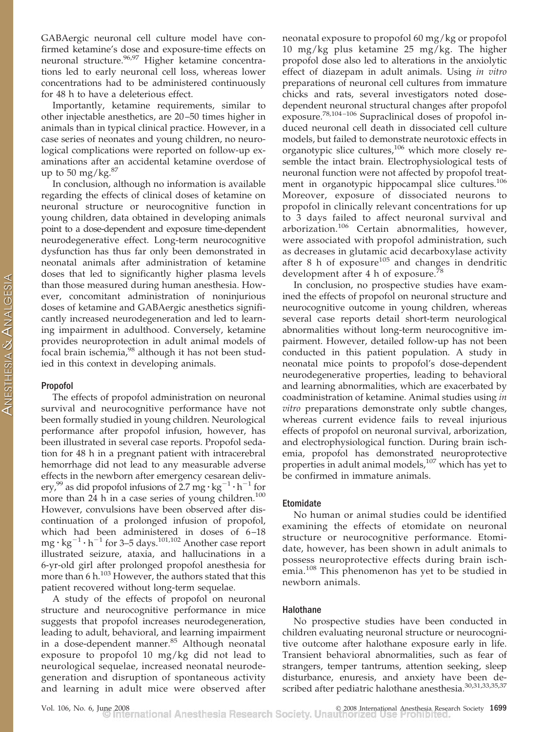GABAergic neuronal cell culture model have confirmed ketamine's dose and exposure-time effects on neuronal structure.<sup>96,97</sup> Higher ketamine concentrations led to early neuronal cell loss, whereas lower concentrations had to be administered continuously for 48 h to have a deleterious effect.

Importantly, ketamine requirements, similar to other injectable anesthetics, are 20 –50 times higher in animals than in typical clinical practice. However, in a case series of neonates and young children, no neurological complications were reported on follow-up examinations after an accidental ketamine overdose of up to 50 mg/kg. $87$ 

In conclusion, although no information is available regarding the effects of clinical doses of ketamine on neuronal structure or neurocognitive function in young children, data obtained in developing animals point to a dose-dependent and exposure time-dependent neurodegenerative effect. Long-term neurocognitive dysfunction has thus far only been demonstrated in neonatal animals after administration of ketamine doses that led to significantly higher plasma levels than those measured during human anesthesia. However, concomitant administration of noninjurious doses of ketamine and GABAergic anesthetics significantly increased neurodegeneration and led to learning impairment in adulthood. Conversely, ketamine provides neuroprotection in adult animal models of focal brain ischemia, $98$  although it has not been studied in this context in developing animals.

# Propofol

The effects of propofol administration on neuronal survival and neurocognitive performance have not been formally studied in young children. Neurological performance after propofol infusion, however, has been illustrated in several case reports. Propofol sedation for 48 h in a pregnant patient with intracerebral hemorrhage did not lead to any measurable adverse effects in the newborn after emergency cesarean delivery,<sup>99</sup> as did propofol infusions of 2.7 mg  $\cdot$  kg<sup>-1</sup>  $\cdot$  h<sup>-1</sup> for more than 24 h in a case series of young children.<sup>100</sup> However, convulsions have been observed after discontinuation of a prolonged infusion of propofol, which had been administered in doses of 6-18 mg  $\cdot$  kg<sup>-1</sup>  $\cdot$  h<sup>-1</sup> for 3–5 days.<sup>101,102</sup> Another case report illustrated seizure, ataxia, and hallucinations in a 6-yr-old girl after prolonged propofol anesthesia for more than 6  $h^{103}$  However, the authors stated that this patient recovered without long-term sequelae.

A study of the effects of propofol on neuronal structure and neurocognitive performance in mice suggests that propofol increases neurodegeneration, leading to adult, behavioral, and learning impairment in a dose-dependent manner.<sup>85</sup> Although neonatal exposure to propofol 10 mg/kg did not lead to neurological sequelae, increased neonatal neurodegeneration and disruption of spontaneous activity and learning in adult mice were observed after

neonatal exposure to propofol 60 mg/kg or propofol 10 mg/kg plus ketamine 25 mg/kg. The higher propofol dose also led to alterations in the anxiolytic effect of diazepam in adult animals. Using *in vitro* preparations of neuronal cell cultures from immature chicks and rats, several investigators noted dosedependent neuronal structural changes after propofol exposure.<sup>78,104-106</sup> Supraclinical doses of propofol induced neuronal cell death in dissociated cell culture models, but failed to demonstrate neurotoxic effects in organotypic slice cultures,<sup>106</sup> which more closely resemble the intact brain. Electrophysiological tests of neuronal function were not affected by propofol treatment in organotypic hippocampal slice cultures.<sup>106</sup> Moreover, exposure of dissociated neurons to propofol in clinically relevant concentrations for up to 3 days failed to affect neuronal survival and arborization.<sup>106</sup> Certain abnormalities, however, were associated with propofol administration, such as decreases in glutamic acid decarboxylase activity after 8 h of exposure<sup>105</sup> and changes in dendritic development after 4 h of exposure.<sup>78</sup>

In conclusion, no prospective studies have examined the effects of propofol on neuronal structure and neurocognitive outcome in young children, whereas several case reports detail short-term neurological abnormalities without long-term neurocognitive impairment. However, detailed follow-up has not been conducted in this patient population. A study in neonatal mice points to propofol's dose-dependent neurodegenerative properties, leading to behavioral and learning abnormalities, which are exacerbated by coadministration of ketamine. Animal studies using *in vitro* preparations demonstrate only subtle changes, whereas current evidence fails to reveal injurious effects of propofol on neuronal survival, arborization, and electrophysiological function. During brain ischemia, propofol has demonstrated neuroprotective properties in adult animal models,<sup>107</sup> which has yet to be confirmed in immature animals.

### Etomidate

No human or animal studies could be identified examining the effects of etomidate on neuronal structure or neurocognitive performance. Etomidate, however, has been shown in adult animals to possess neuroprotective effects during brain ischemia.<sup>108</sup> This phenomenon has yet to be studied in newborn animals.

# Halothane

No prospective studies have been conducted in children evaluating neuronal structure or neurocognitive outcome after halothane exposure early in life. Transient behavioral abnormalities, such as fear of strangers, temper tantrums, attention seeking, sleep disturbance, enuresis, and anxiety have been described after pediatric halothane anesthesia.<sup>30,31,33,35,37</sup>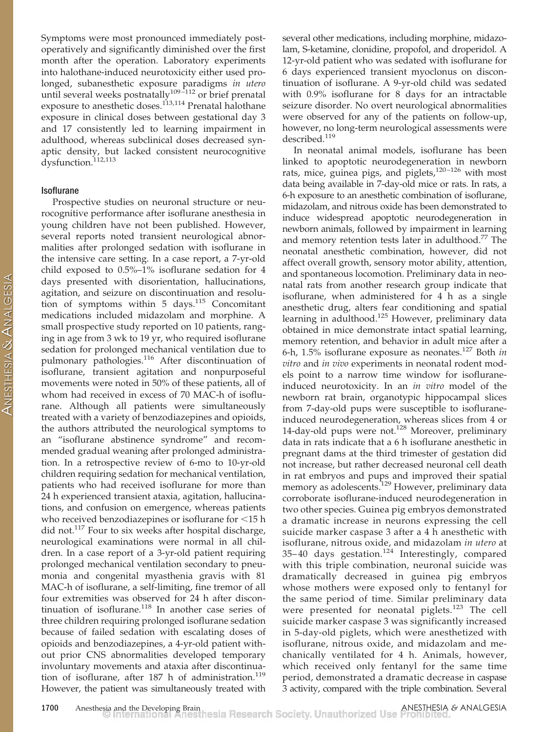Symptoms were most pronounced immediately postoperatively and significantly diminished over the first month after the operation. Laboratory experiments into halothane-induced neurotoxicity either used prolonged, subanesthetic exposure paradigms *in utero* until several weeks postnatally<sup>109-112</sup> or brief prenatal exposure to anesthetic doses.<sup>113,114</sup> Prenatal halothane exposure in clinical doses between gestational day 3 and 17 consistently led to learning impairment in adulthood, whereas subclinical doses decreased synaptic density, but lacked consistent neurocognitive dysfunction.<sup>112,113</sup>

## Isoflurane

Prospective studies on neuronal structure or neurocognitive performance after isoflurane anesthesia in young children have not been published. However, several reports noted transient neurological abnormalities after prolonged sedation with isoflurane in the intensive care setting. In a case report, a 7-yr-old child exposed to 0.5%–1% isoflurane sedation for 4 days presented with disorientation, hallucinations, agitation, and seizure on discontinuation and resolution of symptoms within  $5$  days.<sup>115</sup> Concomitant medications included midazolam and morphine. A small prospective study reported on 10 patients, ranging in age from 3 wk to 19 yr, who required isoflurane sedation for prolonged mechanical ventilation due to pulmonary pathologies.<sup>116</sup> After discontinuation of isoflurane, transient agitation and nonpurposeful movements were noted in 50% of these patients, all of whom had received in excess of 70 MAC-h of isoflurane. Although all patients were simultaneously treated with a variety of benzodiazepines and opioids, the authors attributed the neurological symptoms to an "isoflurane abstinence syndrome" and recommended gradual weaning after prolonged administration. In a retrospective review of 6-mo to 10-yr-old children requiring sedation for mechanical ventilation, patients who had received isoflurane for more than 24 h experienced transient ataxia, agitation, hallucinations, and confusion on emergence, whereas patients who received benzodiazepines or isoflurane for  $\leq$ 15 h did not.<sup>117</sup> Four to six weeks after hospital discharge, neurological examinations were normal in all children. In a case report of a 3-yr-old patient requiring prolonged mechanical ventilation secondary to pneumonia and congenital myasthenia gravis with 81 MAC-h of isoflurane, a self-limiting, fine tremor of all four extremities was observed for 24 h after discontinuation of isoflurane. $118$  In another case series of three children requiring prolonged isoflurane sedation because of failed sedation with escalating doses of opioids and benzodiazepines, a 4-yr-old patient without prior CNS abnormalities developed temporary involuntary movements and ataxia after discontinuation of isoflurane, after 187 h of administration.<sup>119</sup> However, the patient was simultaneously treated with

several other medications, including morphine, midazolam, S-ketamine, clonidine, propofol, and droperidol. A 12-yr-old patient who was sedated with isoflurane for 6 days experienced transient myoclonus on discontinuation of isoflurane. A 9-yr-old child was sedated with 0.9% isoflurane for 8 days for an intractable seizure disorder. No overt neurological abnormalities were observed for any of the patients on follow-up, however, no long-term neurological assessments were described.<sup>119</sup>

In neonatal animal models, isoflurane has been linked to apoptotic neurodegeneration in newborn rats, mice, guinea pigs, and piglets,<sup>120-126</sup> with most data being available in 7-day-old mice or rats. In rats, a 6-h exposure to an anesthetic combination of isoflurane, midazolam, and nitrous oxide has been demonstrated to induce widespread apoptotic neurodegeneration in newborn animals, followed by impairment in learning and memory retention tests later in adulthood.<sup>77</sup> The neonatal anesthetic combination, however, did not affect overall growth, sensory motor ability, attention, and spontaneous locomotion. Preliminary data in neonatal rats from another research group indicate that isoflurane, when administered for 4 h as a single anesthetic drug, alters fear conditioning and spatial learning in adulthood.<sup>125</sup> However, preliminary data obtained in mice demonstrate intact spatial learning, memory retention, and behavior in adult mice after a 6-h, 1.5% isoflurane exposure as neonates.127 Both *in vitro* and *in vivo* experiments in neonatal rodent models point to a narrow time window for isofluraneinduced neurotoxicity. In an *in vitro* model of the newborn rat brain, organotypic hippocampal slices from 7-day-old pups were susceptible to isofluraneinduced neurodegeneration, whereas slices from 4 or 14-day-old pups were not.<sup>128</sup> Moreover, preliminary data in rats indicate that a 6 h isoflurane anesthetic in pregnant dams at the third trimester of gestation did not increase, but rather decreased neuronal cell death in rat embryos and pups and improved their spatial memory as adolescents.<sup>129</sup> However, preliminary data corroborate isoflurane-induced neurodegeneration in two other species. Guinea pig embryos demonstrated a dramatic increase in neurons expressing the cell suicide marker caspase 3 after a 4 h anesthetic with isoflurane, nitrous oxide, and midazolam *in utero* at 35–40 days gestation.<sup>124</sup> Interestingly, compared with this triple combination, neuronal suicide was dramatically decreased in guinea pig embryos whose mothers were exposed only to fentanyl for the same period of time. Similar preliminary data were presented for neonatal piglets.<sup>123</sup> The cell suicide marker caspase 3 was significantly increased in 5-day-old piglets, which were anesthetized with isoflurane, nitrous oxide, and midazolam and mechanically ventilated for 4 h. Animals, however, which received only fentanyl for the same time period, demonstrated a dramatic decrease in caspase 3 activity, compared with the triple combination. Several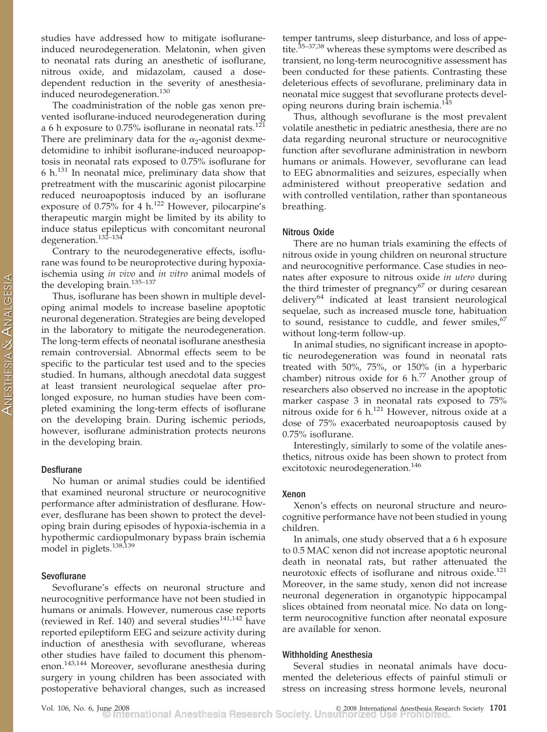studies have addressed how to mitigate isofluraneinduced neurodegeneration. Melatonin, when given to neonatal rats during an anesthetic of isoflurane, nitrous oxide, and midazolam, caused a dosedependent reduction in the severity of anesthesiainduced neurodegeneration.<sup>130</sup>

The coadministration of the noble gas xenon prevented isoflurane-induced neurodegeneration during a 6 h exposure to  $0.75\%$  isoflurane in neonatal rats.<sup>121</sup> There are preliminary data for the  $\alpha_2$ -agonist dexmedetomidine to inhibit isoflurane-induced neuroapoptosis in neonatal rats exposed to 0.75% isoflurane for  $6$  h.<sup>131</sup> In neonatal mice, preliminary data show that pretreatment with the muscarinic agonist pilocarpine reduced neuroapoptosis induced by an isoflurane exposure of 0.75% for 4 h.<sup>122</sup> However, pilocarpine's therapeutic margin might be limited by its ability to induce status epilepticus with concomitant neuronal degeneration.<sup>132-134</sup>

Contrary to the neurodegenerative effects, isoflurane was found to be neuroprotective during hypoxiaischemia using *in vivo* and *in vitro* animal models of the developing brain. $135-137$ 

Thus, isoflurane has been shown in multiple developing animal models to increase baseline apoptotic neuronal degeneration. Strategies are being developed in the laboratory to mitigate the neurodegeneration. The long-term effects of neonatal isoflurane anesthesia remain controversial. Abnormal effects seem to be specific to the particular test used and to the species studied. In humans, although anecdotal data suggest at least transient neurological sequelae after prolonged exposure, no human studies have been completed examining the long-term effects of isoflurane on the developing brain. During ischemic periods, however, isoflurane administration protects neurons in the developing brain.

#### Desflurane

No human or animal studies could be identified that examined neuronal structure or neurocognitive performance after administration of desflurane. However, desflurane has been shown to protect the developing brain during episodes of hypoxia-ischemia in a hypothermic cardiopulmonary bypass brain ischemia model in piglets.<sup>138,139</sup>

# **Sevoflurane**

Sevoflurane's effects on neuronal structure and neurocognitive performance have not been studied in humans or animals. However, numerous case reports (reviewed in Ref. 140) and several studies $141,142$  have reported epileptiform EEG and seizure activity during induction of anesthesia with sevoflurane, whereas other studies have failed to document this phenomenon.<sup>143,144</sup> Moreover, sevoflurane anesthesia during surgery in young children has been associated with postoperative behavioral changes, such as increased temper tantrums, sleep disturbance, and loss of appetite.<sup>35–37,38</sup> whereas these symptoms were described as transient, no long-term neurocognitive assessment has been conducted for these patients. Contrasting these deleterious effects of sevoflurane, preliminary data in neonatal mice suggest that sevoflurane protects developing neurons during brain ischemia.<sup>145</sup>

Thus, although sevoflurane is the most prevalent volatile anesthetic in pediatric anesthesia, there are no data regarding neuronal structure or neurocognitive function after sevoflurane administration in newborn humans or animals. However, sevoflurane can lead to EEG abnormalities and seizures, especially when administered without preoperative sedation and with controlled ventilation, rather than spontaneous breathing.

## Nitrous Oxide

There are no human trials examining the effects of nitrous oxide in young children on neuronal structure and neurocognitive performance. Case studies in neonates after exposure to nitrous oxide *in utero* during the third trimester of pregnancy<sup>67</sup> or during cesarean delivery<sup>64</sup> indicated at least transient neurological sequelae, such as increased muscle tone, habituation to sound, resistance to cuddle, and fewer smiles, $67$ without long-term follow-up.

In animal studies, no significant increase in apoptotic neurodegeneration was found in neonatal rats treated with 50%, 75%, or 150% (in a hyperbaric chamber) nitrous oxide for 6  $h^{77}$  Another group of researchers also observed no increase in the apoptotic marker caspase 3 in neonatal rats exposed to 75% nitrous oxide for 6 h.<sup>121</sup> However, nitrous oxide at a dose of 75% exacerbated neuroapoptosis caused by 0.75% isoflurane.

Interestingly, similarly to some of the volatile anesthetics, nitrous oxide has been shown to protect from excitotoxic neurodegeneration.<sup>146</sup>

# Xenon

Xenon's effects on neuronal structure and neurocognitive performance have not been studied in young children.

In animals, one study observed that a 6 h exposure to 0.5 MAC xenon did not increase apoptotic neuronal death in neonatal rats, but rather attenuated the neurotoxic effects of isoflurane and nitrous oxide.<sup>121</sup> Moreover, in the same study, xenon did not increase neuronal degeneration in organotypic hippocampal slices obtained from neonatal mice. No data on longterm neurocognitive function after neonatal exposure are available for xenon.

#### Withholding Anesthesia

Several studies in neonatal animals have documented the deleterious effects of painful stimuli or stress on increasing stress hormone levels, neuronal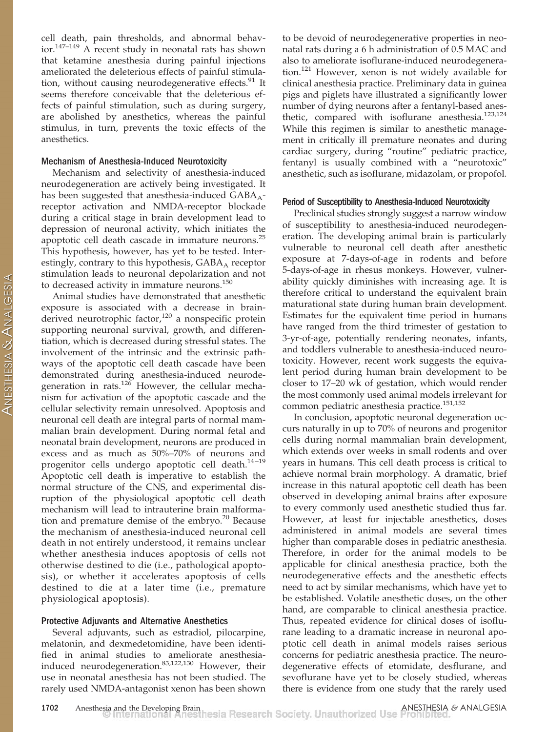cell death, pain thresholds, and abnormal behavior.147–149 A recent study in neonatal rats has shown that ketamine anesthesia during painful injections ameliorated the deleterious effects of painful stimulation, without causing neurodegenerative effects. $91$  It seems therefore conceivable that the deleterious effects of painful stimulation, such as during surgery, are abolished by anesthetics, whereas the painful stimulus, in turn, prevents the toxic effects of the anesthetics.

## Mechanism of Anesthesia-Induced Neurotoxicity

Mechanism and selectivity of anesthesia-induced neurodegeneration are actively being investigated. It has been suggested that anesthesia-induced  $GABA_{A}$ receptor activation and NMDA-receptor blockade during a critical stage in brain development lead to depression of neuronal activity, which initiates the apoptotic cell death cascade in immature neurons.<sup>25</sup> This hypothesis, however, has yet to be tested. Interestingly, contrary to this hypothesis,  $GABA_A$  receptor stimulation leads to neuronal depolarization and not to decreased activity in immature neurons.<sup>150</sup>

Animal studies have demonstrated that anesthetic exposure is associated with a decrease in brainderived neurotrophic factor,<sup>120</sup> a nonspecific protein supporting neuronal survival, growth, and differentiation, which is decreased during stressful states. The involvement of the intrinsic and the extrinsic pathways of the apoptotic cell death cascade have been demonstrated during anesthesia-induced neurodegeneration in rats.<sup>126</sup> However, the cellular mechanism for activation of the apoptotic cascade and the cellular selectivity remain unresolved. Apoptosis and neuronal cell death are integral parts of normal mammalian brain development. During normal fetal and neonatal brain development, neurons are produced in excess and as much as 50%–70% of neurons and progenitor cells undergo apoptotic cell death.<sup>14-19</sup> Apoptotic cell death is imperative to establish the normal structure of the CNS, and experimental disruption of the physiological apoptotic cell death mechanism will lead to intrauterine brain malformation and premature demise of the embryo. $20$  Because the mechanism of anesthesia-induced neuronal cell death in not entirely understood, it remains unclear whether anesthesia induces apoptosis of cells not otherwise destined to die (i.e., pathological apoptosis), or whether it accelerates apoptosis of cells destined to die at a later time (i.e., premature physiological apoptosis).

# Protective Adjuvants and Alternative Anesthetics

Several adjuvants, such as estradiol, pilocarpine, melatonin, and dexmedetomidine, have been identified in animal studies to ameliorate anesthesiainduced neurodegeneration.83,122,130 However, their use in neonatal anesthesia has not been studied. The rarely used NMDA-antagonist xenon has been shown

to be devoid of neurodegenerative properties in neonatal rats during a 6 h administration of 0.5 MAC and also to ameliorate isoflurane-induced neurodegeneration.<sup>121</sup> However, xenon is not widely available for clinical anesthesia practice. Preliminary data in guinea pigs and piglets have illustrated a significantly lower number of dying neurons after a fentanyl-based anesthetic, compared with isoflurane anesthesia.<sup>123,124</sup> While this regimen is similar to anesthetic management in critically ill premature neonates and during cardiac surgery, during "routine" pediatric practice, fentanyl is usually combined with a "neurotoxic" anesthetic, such as isoflurane, midazolam, or propofol.

#### Period of Susceptibility to Anesthesia-Induced Neurotoxicity

Preclinical studies strongly suggest a narrow window of susceptibility to anesthesia-induced neurodegeneration. The developing animal brain is particularly vulnerable to neuronal cell death after anesthetic exposure at 7-days-of-age in rodents and before 5-days-of-age in rhesus monkeys. However, vulnerability quickly diminishes with increasing age. It is therefore critical to understand the equivalent brain maturational state during human brain development. Estimates for the equivalent time period in humans have ranged from the third trimester of gestation to 3-yr-of-age, potentially rendering neonates, infants, and toddlers vulnerable to anesthesia-induced neurotoxicity. However, recent work suggests the equivalent period during human brain development to be closer to 17–20 wk of gestation, which would render the most commonly used animal models irrelevant for common pediatric anesthesia practice.<sup>151,152</sup>

In conclusion, apoptotic neuronal degeneration occurs naturally in up to 70% of neurons and progenitor cells during normal mammalian brain development, which extends over weeks in small rodents and over years in humans. This cell death process is critical to achieve normal brain morphology. A dramatic, brief increase in this natural apoptotic cell death has been observed in developing animal brains after exposure to every commonly used anesthetic studied thus far. However, at least for injectable anesthetics, doses administered in animal models are several times higher than comparable doses in pediatric anesthesia. Therefore, in order for the animal models to be applicable for clinical anesthesia practice, both the neurodegenerative effects and the anesthetic effects need to act by similar mechanisms, which have yet to be established. Volatile anesthetic doses, on the other hand, are comparable to clinical anesthesia practice. Thus, repeated evidence for clinical doses of isoflurane leading to a dramatic increase in neuronal apoptotic cell death in animal models raises serious concerns for pediatric anesthesia practice. The neurodegenerative effects of etomidate, desflurane, and sevoflurane have yet to be closely studied, whereas there is evidence from one study that the rarely used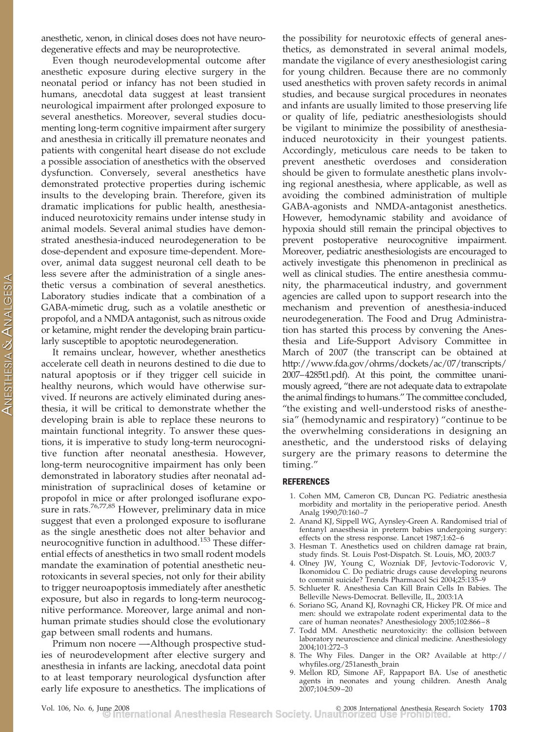anesthetic, xenon, in clinical doses does not have neurodegenerative effects and may be neuroprotective.

Even though neurodevelopmental outcome after anesthetic exposure during elective surgery in the neonatal period or infancy has not been studied in humans, anecdotal data suggest at least transient neurological impairment after prolonged exposure to several anesthetics. Moreover, several studies documenting long-term cognitive impairment after surgery and anesthesia in critically ill premature neonates and patients with congenital heart disease do not exclude a possible association of anesthetics with the observed dysfunction. Conversely, several anesthetics have demonstrated protective properties during ischemic insults to the developing brain. Therefore, given its dramatic implications for public health, anesthesiainduced neurotoxicity remains under intense study in animal models. Several animal studies have demonstrated anesthesia-induced neurodegeneration to be dose-dependent and exposure time-dependent. Moreover, animal data suggest neuronal cell death to be less severe after the administration of a single anesthetic versus a combination of several anesthetics. Laboratory studies indicate that a combination of a GABA-mimetic drug, such as a volatile anesthetic or propofol, and a NMDA antagonist, such as nitrous oxide or ketamine, might render the developing brain particularly susceptible to apoptotic neurodegeneration.

ANESTHESIA & ANALGESIA

It remains unclear, however, whether anesthetics accelerate cell death in neurons destined to die due to natural apoptosis or if they trigger cell suicide in healthy neurons, which would have otherwise survived. If neurons are actively eliminated during anesthesia, it will be critical to demonstrate whether the developing brain is able to replace these neurons to maintain functional integrity. To answer these questions, it is imperative to study long-term neurocognitive function after neonatal anesthesia. However, long-term neurocognitive impairment has only been demonstrated in laboratory studies after neonatal administration of supraclinical doses of ketamine or propofol in mice or after prolonged isoflurane exposure in rats.<sup>76,77,85</sup> However, preliminary data in mice suggest that even a prolonged exposure to isoflurane as the single anesthetic does not alter behavior and neurocognitive function in adulthood.<sup>153</sup> These differential effects of anesthetics in two small rodent models mandate the examination of potential anesthetic neurotoxicants in several species, not only for their ability to trigger neuroapoptosis immediately after anesthetic exposure, but also in regards to long-term neurocognitive performance. Moreover, large animal and nonhuman primate studies should close the evolutionary gap between small rodents and humans.

Primum non nocere —-Although prospective studies of neurodevelopment after elective surgery and anesthesia in infants are lacking, anecdotal data point to at least temporary neurological dysfunction after early life exposure to anesthetics. The implications of the possibility for neurotoxic effects of general anesthetics, as demonstrated in several animal models, mandate the vigilance of every anesthesiologist caring for young children. Because there are no commonly used anesthetics with proven safety records in animal studies, and because surgical procedures in neonates and infants are usually limited to those preserving life or quality of life, pediatric anesthesiologists should be vigilant to minimize the possibility of anesthesiainduced neurotoxicity in their youngest patients. Accordingly, meticulous care needs to be taken to prevent anesthetic overdoses and consideration should be given to formulate anesthetic plans involving regional anesthesia, where applicable, as well as avoiding the combined administration of multiple GABA-agonists and NMDA-antagonist anesthetics. However, hemodynamic stability and avoidance of hypoxia should still remain the principal objectives to prevent postoperative neurocognitive impairment. Moreover, pediatric anesthesiologists are encouraged to actively investigate this phenomenon in preclinical as well as clinical studies. The entire anesthesia community, the pharmaceutical industry, and government agencies are called upon to support research into the mechanism and prevention of anesthesia-induced neurodegeneration. The Food and Drug Administration has started this process by convening the Anesthesia and Life-Support Advisory Committee in March of 2007 (the transcript can be obtained at http://www.fda.gov/ohrms/dockets/ac/07/transcripts/ 2007–4285t1.pdf). At this point, the committee unanimously agreed, "there are not adequate data to extrapolate the animal findings to humans." The committee concluded, "the existing and well-understood risks of anesthesia" (hemodynamic and respiratory) "continue to be the overwhelming considerations in designing an anesthetic, and the understood risks of delaying surgery are the primary reasons to determine the timing."

#### **REFERENCES**

- 1. Cohen MM, Cameron CB, Duncan PG. Pediatric anesthesia morbidity and mortality in the perioperative period. Anesth Analg 1990;70:160 –7
- 2. Anand KJ, Sippell WG, Aynsley-Green A. Randomised trial of fentanyl anaesthesia in preterm babies undergoing surgery: effects on the stress response. Lancet 1987;1:62-6
- 3. Hesman T. Anesthetics used on children damage rat brain, study finds. St. Louis Post-Dispatch. St. Louis, MO, 2003:7
- 4. Olney JW, Young C, Wozniak DF, Jevtovic-Todorovic V, Ikonomidou C. Do pediatric drugs cause developing neurons to commit suicide? Trends Pharmacol Sci 2004;25:135–9
- 5. Schlueter R. Anesthesia Can Kill Brain Cells In Babies. The Belleville News-Democrat. Belleville, IL, 2003:1A
- 6. Soriano SG, Anand KJ, Rovnaghi CR, Hickey PR. Of mice and men: should we extrapolate rodent experimental data to the care of human neonates? Anesthesiology 2005;102:866 – 8
- 7. Todd MM. Anesthetic neurotoxicity: the collision between laboratory neuroscience and clinical medicine. Anesthesiology 2004;101:272–3
- 8. The Why Files. Danger in the OR? Available at http:// whyfiles.org/251anesth\_brain
- 9. Mellon RD, Simone AF, Rappaport BA. Use of anesthetic agents in neonates and young children. Anesth Analg 2007;104:509 –20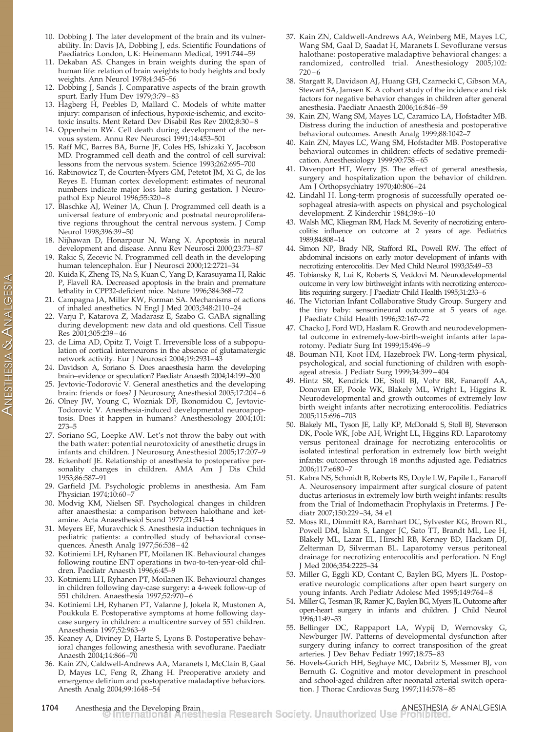- 10. Dobbing J. The later development of the brain and its vulnerability. In: Davis JA, Dobbing J, eds. Scientific Foundations of Paediatrics London, UK: Heinemann Medical, 1991:744 –59
- 11. Dekaban AS. Changes in brain weights during the span of human life: relation of brain weights to body heights and body weights. Ann Neurol 1978;4:345–56
- 12. Dobbing J, Sands J. Comparative aspects of the brain growth spurt. Early Hum Dev 1979;3:79 – 83
- 13. Hagberg H, Peebles D, Mallard C. Models of white matter injury: comparison of infectious, hypoxic-ischemic, and excitotoxic insults. Ment Retard Dev Disabil Res Rev 2002;8:30 – 8
- 14. Oppenheim RW. Cell death during development of the nervous system. Annu Rev Neurosci 1991;14:453–501
- 15. Raff MC, Barres BA, Burne JF, Coles HS, Ishizaki Y, Jacobson MD. Programmed cell death and the control of cell survival: lessons from the nervous system. Science 1993;262:695–700
- 16. Rabinowicz T, de Courten-Myers GM, Petetot JM, Xi G, de los Reyes E. Human cortex development: estimates of neuronal numbers indicate major loss late during gestation. J Neuropathol Exp Neurol 1996;55:320 – 8
- 17. Blaschke AJ, Weiner JA, Chun J. Programmed cell death is a universal feature of embryonic and postnatal neuroproliferative regions throughout the central nervous system. J Comp Neurol 1998;396:39 –50
- 18. Nijhawan D, Honarpour N, Wang X. Apoptosis in neural development and disease. Annu Rev Neurosci 2000;23:73– 87
- 19. Rakic S, Zecevic N. Programmed cell death in the developing human telencephalon. Eur J Neurosci 2000;12:2721–34
- 20. Kuida K, Zheng TS, Na S, Kuan C, Yang D, Karasuyama H, Rakic P, Flavell RA. Decreased apoptosis in the brain and premature lethality in CPP32-deficient mice. Nature 1996;384:368 –72
- 21. Campagna JA, Miller KW, Forman SA. Mechanisms of actions of inhaled anesthetics. N Engl J Med 2003;348:2110 –24
- 22. Varju P, Katarova Z, Madarasz E, Szabo G. GABA signalling during development: new data and old questions. Cell Tissue Res 2001;305:239 – 46
- 23. de Lima AD, Opitz T, Voigt T. Irreversible loss of a subpopulation of cortical interneurons in the absence of glutamatergic network activity. Eur J Neurosci 2004;19:2931– 43

Anesthesia & Analgesia

- 24. Davidson A, Soriano S. Does anaesthesia harm the developing brain–evidence or speculation? Paediatr Anaesth 2004;14:199–200
- Jevtovic-Todorovic V. General anesthetics and the developing brain: friends or foes? J Neurosurg Anesthesiol 2005;17:204 – 6
- 26. Olney JW, Young C, Wozniak DF, Ikonomidou C, Jevtovic-Todorovic V. Anesthesia-induced developmental neuroapoptosis. Does it happen in humans? Anesthesiology 2004;101: 273–5
- 27. Soriano SG, Loepke AW. Let's not throw the baby out with the bath water: potential neurotoxicity of anesthetic drugs in infants and children. J Neurosurg Anesthesiol 2005;17:207–9
- 28. Eckenhoff JE. Relationship of anesthesia to postoperative personality changes in children. AMA Am J Dis Child 1953;86:587–91
- 29. Garfield JM. Psychologic problems in anesthesia. Am Fam Physician 1974;10:60 –7
- 30. Modvig KM, Nielsen SF. Psychological changes in children after anaesthesia: a comparison between halothane and ketamine. Acta Anaesthesiol Scand 1977;21:541– 4
- 31. Meyers EF, Muravchick S. Anesthesia induction techniques in pediatric patients: a controlled study of behavioral consequences. Anesth Analg 1977;56:538 – 42
- 32. Kotiniemi LH, Ryhanen PT, Moilanen IK. Behavioural changes following routine ENT operations in two-to-ten-year-old children. Paediatr Anaesth 1996;6:45–9
- 33. Kotiniemi LH, Ryhanen PT, Moilanen IK. Behavioural changes in children following day-case surgery: a 4-week follow-up of 551 children. Anaesthesia 1997;52:970 – 6
- 34. Kotiniemi LH, Ryhanen PT, Valanne J, Jokela R, Mustonen A, Poukkula E. Postoperative symptoms at home following daycase surgery in children: a multicentre survey of 551 children. Anaesthesia 1997;52:963–9
- 35. Keaney A, Diviney D, Harte S, Lyons B. Postoperative behavioral changes following anesthesia with sevoflurane. Paediatr Anaesth 2004;14:866 –70
- 36. Kain ZN, Caldwell-Andrews AA, Maranets I, McClain B, Gaal D, Mayes LC, Feng R, Zhang H. Preoperative anxiety and emergence delirium and postoperative maladaptive behaviors. Anesth Analg 2004;99:1648 –54
- 37. Kain ZN, Caldwell-Andrews AA, Weinberg ME, Mayes LC, Wang SM, Gaal D, Saadat H, Maranets I. Sevoflurane versus halothane: postoperative maladaptive behavioral changes: a randomized, controlled trial. Anesthesiology 2005;102:  $720 - 6$
- 38. Stargatt R, Davidson AJ, Huang GH, Czarnecki C, Gibson MA, Stewart SA, Jamsen K. A cohort study of the incidence and risk factors for negative behavior changes in children after general anesthesia. Paediatr Anaesth 2006;16:846 –59
- 39. Kain ZN, Wang SM, Mayes LC, Caramico LA, Hofstadter MB. Distress during the induction of anesthesia and postoperative behavioral outcomes. Anesth Analg 1999;88:1042–7
- 40. Kain ZN, Mayes LC, Wang SM, Hofstadter MB. Postoperative behavioral outcomes in children: effects of sedative premedication. Anesthesiology 1999;90:758 – 65
- 41. Davenport HT, Werry JS. The effect of general anesthesia, surgery and hospitalization upon the behavior of children. Am J Orthopsychiatry 1970;40:806 –24
- 42. Lindahl H. Long-term prognosis of successfully operated oesophageal atresia-with aspects on physical and psychological development. Z Kinderchir 1984;39:6 –10
- 43. Walsh MC, Kliegman RM, Hack M. Severity of necrotizing enterocolitis: influence on outcome at 2 years of age. Pediatrics 1989;84:808–14
- 44. Simon NP, Brady NR, Stafford RL, Powell RW. The effect of abdominal incisions on early motor development of infants with necrotizing enterocolitis. Dev Med Child Neurol 1993;35:49–53
- 45. Tobiansky R, Lui K, Roberts S, Veddovi M. Neurodevelopmental outcome in very low birthweight infants with necrotizing enterocolitis requiring surgery. J Paediatr Child Health 1995;31:233–6
- 46. The Victorian Infant Collaborative Study Group. Surgery and the tiny baby: sensorineural outcome at 5 years of age. J Paediatr Child Health 1996;32:167–72
- 47. Chacko J, Ford WD, Haslam R. Growth and neurodevelopmental outcome in extremely-low-birth-weight infants after laparotomy. Pediatr Surg Int 1999;15:496 –9
- 48. Bouman NH, Koot HM, Hazebroek FW. Long-term physical, psychological, and social functioning of children with esophageal atresia. J Pediatr Surg 1999;34:399 – 404
- 49. Hintz SR, Kendrick DE, Stoll BJ, Vohr BR, Fanaroff AA, Donovan EF, Poole WK, Blakely ML, Wright L, Higgins R. Neurodevelopmental and growth outcomes of extremely low birth weight infants after necrotizing enterocolitis. Pediatrics 2005;115:696 –703
- 50. Blakely ML, Tyson JE, Lally KP, McDonald S, Stoll BJ, Stevenson DK, Poole WK, Jobe AH, Wright LL, Higgins RD. Laparotomy versus peritoneal drainage for necrotizing enterocolitis or isolated intestinal perforation in extremely low birth weight infants: outcomes through 18 months adjusted age. Pediatrics 2006;117:e680 –7
- 51. Kabra NS, Schmidt B, Roberts RS, Doyle LW, Papile L, Fanaroff A. Neurosensory impairment after surgical closure of patent ductus arteriosus in extremely low birth weight infants: results from the Trial of Indomethacin Prophylaxis in Preterms. J Pediatr 2007;150:229 –34, 34 e1
- 52. Moss RL, Dimmitt RA, Barnhart DC, Sylvester KG, Brown RL, Powell DM, Islam S, Langer JC, Sato TT, Brandt ML, Lee H, Blakely ML, Lazar EL, Hirschl RB, Kenney BD, Hackam DJ, Zelterman D, Silverman BL. Laparotomy versus peritoneal drainage for necrotizing enterocolitis and perforation. N Engl J Med 2006;354:2225–34
- 53. Miller G, Eggli KD, Contant C, Baylen BG, Myers JL. Postoperative neurologic complications after open heart surgery on young infants. Arch Pediatr Adolesc Med 1995;149:764 – 8
- 54. Miller G, Tesman JR, Ramer JC, Baylen BG, Myers JL. Outcome after open-heart surgery in infants and children. J Child Neurol 1996;11:49–53
- 55. Bellinger DC, Rappaport LA, Wypij D, Wernovsky G, Newburger JW. Patterns of developmental dysfunction after surgery during infancy to correct transposition of the great arteries. J Dev Behav Pediatr 1997;18:75– 83
- 56. Hovels-Gurich HH, Seghaye MC, Dabritz S, Messmer BJ, von Bernuth G. Cognitive and motor development in preschool and school-aged children after neonatal arterial switch operation. J Thorac Cardiovas Surg 1997;114:578 – 85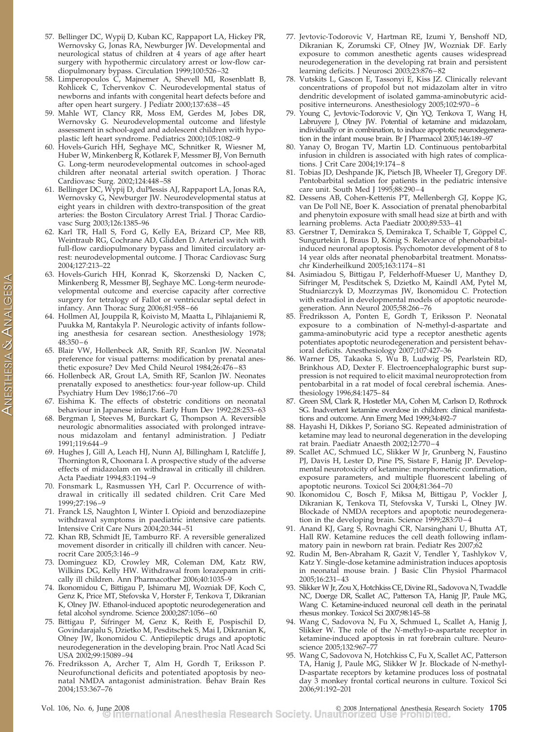- 57. Bellinger DC, Wypij D, Kuban KC, Rappaport LA, Hickey PR, Wernovsky G, Jonas RA, Newburger JW. Developmental and neurological status of children at 4 years of age after heart surgery with hypothermic circulatory arrest or low-flow cardiopulmonary bypass. Circulation 1999;100:526 –32
- 58. Limperopoulos C, Majnemer A, Shevell MI, Rosenblatt B, Rohlicek C, Tchervenkov C. Neurodevelopmental status of newborns and infants with congenital heart defects before and after open heart surgery. J Pediatr 2000;137:638 – 45
- 59. Mahle WT, Clancy RR, Moss EM, Gerdes M, Jobes DR, Wernovsky G. Neurodevelopmental outcome and lifestyle assessment in school-aged and adolescent children with hypoplastic left heart syndrome. Pediatrics 2000;105:1082–9
- 60. Hovels-Gurich HH, Seghaye MC, Schnitker R, Wiesner M, Huber W, Minkenberg R, Kotlarek F, Messmer BJ, Von Bernuth G. Long-term neurodevelopmental outcomes in school-aged children after neonatal arterial switch operation. J Thorac Cardiovasc Surg. 2002;124:448 –58
- 61. Bellinger DC, Wypij D, duPlessis AJ, Rappaport LA, Jonas RA, Wernovsky G, Newburger JW. Neurodevelopmental status at eight years in children with dextro-transposition of the great arteries: the Boston Circulatory Arrest Trial. J Thorac Cardiovasc Surg 2003;126:1385–96
- 62. Karl TR, Hall S, Ford G, Kelly EA, Brizard CP, Mee RB, Weintraub RG, Cochrane AD, Glidden D. Arterial switch with full-flow cardiopulmonary bypass and limited circulatory arrest: neurodevelopmental outcome. J Thorac Cardiovasc Surg 2004;127:213–22
- 63. Hovels-Gurich HH, Konrad K, Skorzenski D, Nacken C, Minkenberg R, Messmer BJ, Seghaye MC. Long-term neurodevelopmental outcome and exercise capacity after corrective surgery for tetralogy of Fallot or ventricular septal defect in infancy. Ann Thorac Surg 2006;81:958 – 66
- 64. Hollmen AI, Jouppila R, Koivisto M, Maatta L, Pihlajaniemi R, Puukka M, Rantakyla P. Neurologic activity of infants following anesthesia for cesarean section. Anesthesiology 1978;  $48:350 - 6$
- 65. Blair VW, Hollenbeck AR, Smith RF, Scanlon JW. Neonatal preference for visual patterns: modification by prenatal anesthetic exposure? Dev Med Child Neurol 1984;26:476 – 83
- 66. Hollenbeck AR, Grout LA, Smith RF, Scanlon JW. Neonates prenatally exposed to anesthetics: four-year follow-up. Child Psychiatry Hum Dev 1986;17:66 –70
- 67. Eishima K. The effects of obstetric conditions on neonatal behaviour in Japanese infants. Early Hum Dev 1992;28:253– 63
- 68. Bergman I, Steeves M, Burckart G, Thompson A. Reversible neurologic abnormalities associated with prolonged intravenous midazolam and fentanyl administration. J Pediatr 1991;119:644 –9
- 69. Hughes J, Gill A, Leach HJ, Nunn AJ, Billingham I, Ratcliffe J, Thornington R, Choonara I. A prospective study of the adverse effects of midazolam on withdrawal in critically ill children. Acta Paediatr 1994;83:1194 –9
- 70. Fonsmark L, Rasmussen YH, Carl P. Occurrence of withdrawal in critically ill sedated children. Crit Care Med 1999;27:196 –9
- 71. Franck LS, Naughton I, Winter I. Opioid and benzodiazepine withdrawal symptoms in paediatric intensive care patients. Intensive Crit Care Nurs 2004;20:344 –51
- 72. Khan RB, Schmidt JE, Tamburro RF. A reversible generalized movement disorder in critically ill children with cancer. Neurocrit Care 2005;3:146 –9
- 73. Dominguez KD, Crowley MR, Coleman DM, Katz RW, Wilkins DG, Kelly HW. Withdrawal from lorazepam in critically ill children. Ann Pharmacother 2006;40:1035–9
- 74. Ikonomidou C, Bittigau P, Ishimaru MJ, Wozniak DF, Koch C, Genz K, Price MT, Stefovska V, Horster F, Tenkova T, Dikranian K, Olney JW. Ethanol-induced apoptotic neurodegeneration and fetal alcohol syndrome. Science 2000;287:1056-60
- 75. Bittigau P, Sifringer M, Genz K, Reith E, Pospischil D, Govindarajalu S, Dzietko M, Pesditschek S, Mai I, Dikranian K, Olney JW, Ikonomidou C. Antiepileptic drugs and apoptotic neurodegeneration in the developing brain. Proc Natl Acad Sci USA 2002;99:15089 –94
- 76. Fredriksson A, Archer T, Alm H, Gordh T, Eriksson P. Neurofunctional deficits and potentiated apoptosis by neonatal NMDA antagonist administration. Behav Brain Res 2004;153:367–76
- 77. Jevtovic-Todorovic V, Hartman RE, Izumi Y, Benshoff ND, Dikranian K, Zorumski CF, Olney JW, Wozniak DF. Early exposure to common anesthetic agents causes widespread neurodegeneration in the developing rat brain and persistent learning deficits. J Neurosci 2003;23:876 – 82
- 78. Vutskits L, Gascon E, Tassonyi E, Kiss JZ. Clinically relevant concentrations of propofol but not midazolam alter in vitro dendritic development of isolated gamma-aminobutyric acidpositive interneurons. Anesthesiology 2005;102:970 – 6
- 79. Young C, Jevtovic-Todorovic V, Qin YQ, Tenkova T, Wang H, Labruyere J, Olney JW. Potential of ketamine and midazolam, individually or in combination, to induce apoptotic neurodegeneration in the infant mouse brain. Br J Pharmacol 2005;146:189–97
- 80. Yanay O, Brogan TV, Martin LD. Continuous pentobarbital infusion in children is associated with high rates of complications. J Crit Care 2004;19:174 – 8
- 81. Tobias JD, Deshpande JK, Pietsch JB, Wheeler TJ, Gregory DF. Pentobarbital sedation for patients in the pediatric intensive care unit. South Med J 1995;88:290 – 4
- 82. Dessens AB, Cohen-Kettenis PT, Mellenbergh GJ, Koppe JG, van De Poll NE, Boer K. Association of prenatal phenobarbital and phenytoin exposure with small head size at birth and with learning problems. Acta Paediatr 2000;89:533– 41
- 83. Gerstner T, Demirakca S, Demirakca T, Schaible T, Göppel C, Sungurtekin I, Braus D, König S. Relevance of phenobarbitalinduced neuronal apoptosis. Psychomotor development of 8 to 14 year olds after neonatal phenobarbital treatment. Monatsschr Kinderheilkund 2005;163:1174 – 81
- 84. Asimiadou S, Bittigau P, Felderhoff-Mueser U, Manthey D, Sifringer M, Pesditschek S, Dzietko M, Kaindl AM, Pytel M, Studniarczyk D, Mozrzymas JW, Ikonomidou C. Protection with estradiol in developmental models of apoptotic neurodegeneration. Ann Neurol 2005;58:266 –76
- 85. Fredriksson A, Ponten E, Gordh T, Eriksson P. Neonatal exposure to a combination of N-methyl-d-aspartate and gamma-aminobutyric acid type a receptor anesthetic agents potentiates apoptotic neurodegeneration and persistent behavioral deficits. Anesthesiology 2007;107:427–36
- 86. Warner DS, Takaoka S, Wu B, Ludwig PS, Pearlstein RD, Brinkhous AD, Dexter F. Electroencephalographic burst suppression is not required to elicit maximal neuroprotection from pentobarbital in a rat model of focal cerebral ischemia. Anesthesiology 1996;84:1475– 84
- 87. Green SM, Clark R, Hostetler MA, Cohen M, Carlson D, Rothrock SG. Inadvertent ketamine overdose in children: clinical manifestations and outcome. Ann Emerg Med 1999;34:492–7
- 88. Hayashi H, Dikkes P, Soriano SG. Repeated administration of ketamine may lead to neuronal degeneration in the developing rat brain. Paediatr Anaesth 2002;12:770 – 4
- 89. Scallet AC, Schmued LC, Slikker W Jr, Grunberg N, Faustino PJ, Davis H, Lester D, Pine PS, Sistare F, Hanig JP. Developmental neurotoxicity of ketamine: morphometric confirmation, exposure parameters, and multiple fluorescent labeling of apoptotic neurons. Toxicol Sci 2004;81:364 –70
- 90. Ikonomidou C, Bosch F, Miksa M, Bittigau P, Vockler J, Dikranian K, Tenkova TI, Stefovska V, Turski L, Olney JW. Blockade of NMDA receptors and apoptotic neurodegeneration in the developing brain. Science 1999;283:70-4
- 91. Anand KJ, Garg S, Rovnaghi CR, Narsinghani U, Bhutta AT, Hall RW. Ketamine reduces the cell death following inflammatory pain in newborn rat brain. Pediatr Res 2007;62
- 92. Rudin M, Ben-Abraham R, Gazit V, Tendler Y, Tashlykov V, Katz Y. Single-dose ketamine administration induces apoptosis in neonatal mouse brain. J Basic Clin Physiol Pharmacol 2005;16:231– 43
- 93. SlikkerW Jr, Zou X, Hotchkiss CE, Divine RL, Sadovova N, Twaddle NC, Doerge DR, Scallet AC, Patterson TA, Hanig JP, Paule MG, Wang C. Ketamine-induced neuronal cell death in the perinatal rhesus monkey. Toxicol Sci 2007;98:145–58
- 94. Wang C, Sadovova N, Fu X, Schmued L, Scallet A, Hanig J, Slikker W. The role of the *N*-methyl-p-aspartate receptor in ketamine-induced apoptosis in rat forebrain culture. Neuroscience 2005;132:967–77
- 95. Wang C, Sadovova N, Hotchkiss C, Fu X, Scallet AC, Patterson TA, Hanig J, Paule MG, Slikker W Jr. Blockade of N-methyl-D-aspartate receptors by ketamine produces loss of postnatal day 3 monkey frontal cortical neurons in culture. Toxicol Sci 2006;91:192–201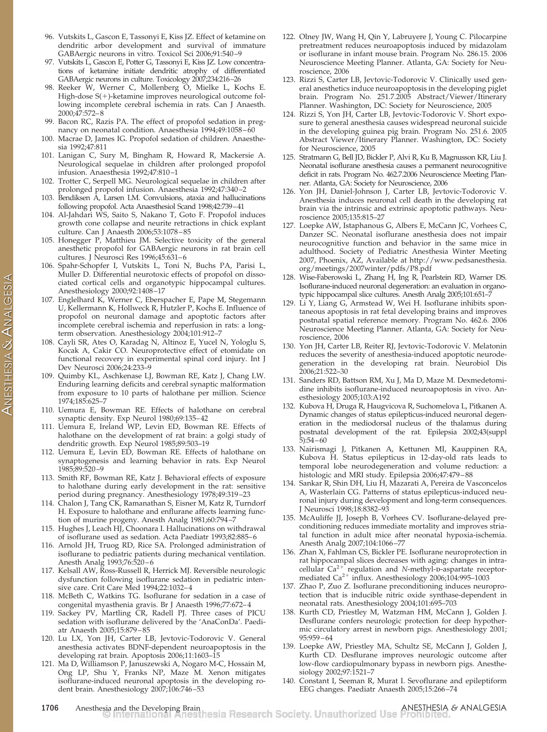- 96. Vutskits L, Gascon E, Tassonyi E, Kiss JZ. Effect of ketamine on dendritic arbor development and survival of immature GABAergic neurons in vitro. Toxicol Sci 2006;91:540 –9
- 97. Vutskits L, Gascon E, Potter G, Tassonyi E, Kiss JZ. Low concentrations of ketamine initiate dendritic atrophy of differentiated GABAergic neurons in culture. Toxicology 2007;234:216–26
- 98. Reeker W, Werner C, Mollenberg O, Mielke L, Kochs E. High-dose  $S(+)$ -ketamine improves neurological outcome following incomplete cerebral ischemia in rats. Can J Anaesth. 2000;47:572– 8
- 99. Bacon RC, Razis PA. The effect of propofol sedation in pregnancy on neonatal condition. Anaesthesia 1994;49:1058 – 60
- 100. Macrae D, James IG. Propofol sedation of children. Anaesthesia 1992;47:811
- 101. Lanigan C, Sury M, Bingham R, Howard R, Mackersie A. Neurological sequelae in children after prolonged propofol infusion. Anaesthesia 1992;47:810 –1
- 102. Trotter C, Serpell MG. Neurological sequelae in children after prolonged propofol infusion. Anaesthesia 1992;47:340 –2
- 103. Bendiksen A, Larsen LM. Convulsions, ataxia and hallucinations following propofol. Acta Anaesthesiol Scand 1998;42:739–41
- 104. Al-Jahdari WS, Saito S, Nakano T, Goto F. Propofol induces growth cone collapse and neurite retractions in chick explant culture. Can J Anaesth 2006;53:1078 – 85
- 105. Honegger P, Matthieu JM. Selective toxicity of the general anesthetic propofol for GABAergic neurons in rat brain cell cultures. J Neurosci Res 1996;45:631– 6
- 106. Spahr-Schopfer I, Vutskits L, Toni N, Buchs PA, Parisi L, Muller D. Differential neurotoxic effects of propofol on dissociated cortical cells and organotypic hippocampal cultures. Anesthesiology 2000;92:1408 –17
- 107. Englelhard K, Werner C, Eberspacher E, Pape M, Stegemann U, Kellermann K, Hollweck R, Hutzler P, Kochs E. Influence of propofol on neuronal damage and apoptotic factors after incomplete cerebral ischemia and reperfusion in rats: a longterm observation. Anesthesiology 2004;101:912–7
- 108. Cayli SR, Ates O, Karadag N, Altinoz E, Yucel N, Yologlu S, Kocak A, Cakir CO. Neuroprotective effect of etomidate on functional recovery in experimental spinal cord injury. Int J Dev Neurosci 2006;24:233–9
- 109. Quimby KL, Aschkenase LJ, Bowman RE, Katz J, Chang LW. Enduring learning deficits and cerebral synaptic malformation from exposure to 10 parts of halothane per million. Science 1974;185:625–7
- 110. Uemura E, Bowman RE. Effects of halothane on cerebral synaptic density. Exp Neurol 1980;69:135– 42
- 111. Uemura E, Ireland WP, Levin ED, Bowman RE. Effects of halothane on the development of rat brain: a golgi study of dendritic growth. Exp Neurol 1985;89:503–19
- 112. Uemura E, Levin ED, Bowman RE. Effects of halothane on synaptogenesis and learning behavior in rats. Exp Neurol 1985;89:520 –9
- 113. Smith RF, Bowman RE, Katz J. Behavioral effects of exposure to halothane during early development in the rat: sensitive period during pregnancy. Anesthesiology 1978;49:319 –23
- 114. Chalon J, Tang CK, Ramanathan S, Eisner M, Katz R, Turndorf H. Exposure to halothane and enflurane affects learning function of murine progeny. Anesth Analg 1981;60:794 –7
- 115. Hughes J, Leach HJ, Choonara I. Hallucinations on withdrawal of isoflurane used as sedation. Acta Paediatr 1993;82:885– 6
- 116. Arnold JH, Truog RD, Rice SA. Prolonged administration of isoflurane to pediatric patients during mechanical ventilation. Anesth Analg 1993;76:520 – 6
- 117. Kelsall AW, Ross-Russell R, Herrick MJ. Reversible neurologic dysfunction following isoflurane sedation in pediatric intensive care. Crit Care Med 1994;22:1032– 4
- 118. McBeth C, Watkins TG. Isoflurane for sedation in a case of congenital myasthenia gravis. Br J Anaesth 1996;77:672– 4
- 119. Sackey PV, Martling CR, Radell PJ. Three cases of PICU sedation with isoflurane delivered by the 'AnaConDa'. Paediatr Anaesth 2005;15:879 – 85
- 120. Lu LX, Yon JH, Carter LB, Jevtovic-Todorovic V. General anesthesia activates BDNF-dependent neuroapoptosis in the developing rat brain. Apoptosis 2006;11:1603–15
- 121. Ma D, Williamson P, Januszewski A, Nogaro M-C, Hossain M, Ong LP, Shu Y, Franks NP, Maze M. Xenon mitigates isoflurane-induced neuronal apoptosis in the developing rodent brain. Anesthesiology 2007;106:746 –53
- 122. Olney JW, Wang H, Qin Y, Labruyere J, Young C. Pilocarpine pretreatment reduces neuroapoptosis induced by midazolam or isoflurane in infant mouse brain. Program No. 286.15. 2006 Neuroscience Meeting Planner. Atlanta, GA: Society for Neuroscience, 2006
- 123. Rizzi S, Carter LB, Jevtovic-Todorovic V. Clinically used general anesthetics induce neuroapoptosis in the developing piglet brain. Program No. 251.7.2005 Abstract/Viewer/Itinerary Planner. Washington, DC: Society for Neuroscience, 2005
- 124. Rizzi S, Yon JH, Carter LB, Jevtovic-Todorovic V. Short exposure to general anesthesia causes widespread neuronal suicide in the developing guinea pig brain. Program No. 251.6. 2005 Abstract Viewer/Itinerary Planner. Washington, DC: Society for Neuroscience, 2005
- 125. Stratmann G, Bell JD, Bickler P, Alvi R, Ku B, Magnusson KR, Liu J. Neonatal isoflurane anesthesia causes a permanent neurocognitive deficit in rats. Program No. 462.7.2006 Neuroscience Meeting Planner. Atlanta, GA: Society for Neuroscience, 2006
- 126. Yon JH, Daniel-Johnson J, Carter LB, Jevtovic-Todorovic V. Anesthesia induces neuronal cell death in the developing rat brain via the intrinsic and extrinsic apoptotic pathways. Neuroscience 2005;135:815–27
- 127. Loepke AW, Istaphanous G, Albers E, McCann JC, Vorhees C, Danzer SC. Neonatal isoflurane anesthesia does not impair neurocognitive function and behavior in the same mice in adulthood. Society of Pediatric Anesthesia Winter Meeting 2007, Phoenix, AZ, Available at http://www.pedsanesthesia. org/meetings/2007winter/pdfs/P8.pdf
- 128. Wise-Faberowski L, Zhang H, Ing R, Pearlstein RD, Warner DS. Isoflurane-induced neuronal degeneration: an evaluation in organotypic hippocampal slice cultures. Anesth Analg 2005;101:651–7
- 129. Li Y, Liang G, Armstead W, Wei H. Isoflurane inhibits spontaneous apoptosis in rat fetal developing brains and improves postnatal spatial reference memory. Program No. 462.6. 2006 Neuroscience Meeting Planner. Atlanta, GA: Society for Neuroscience, 2006
- 130. Yon JH, Carter LB, Reiter RJ, Jevtovic-Todorovic V. Melatonin reduces the severity of anesthesia-induced apoptotic neurodegeneration in the developing rat brain. Neurobiol Dis 2006;21:522–30
- 131. Sanders RD, Battson RM, Xu J, Ma D, Maze M. Dexmedetomidine inhibits isoflurane-induced neuroapoptosis in vivo. Anesthesiology 2005;103:A192
- 132. Kubova H, Druga R, Haugvicova R, Suchomelova L, Pitkanen A. Dynamic changes of status epilepticus-induced neuronal degeneration in the mediodorsal nucleus of the thalamus during postnatal development of the rat. Epilepsia 2002;43(suppl 5):54 – 60
- 133. Nairismagi J, Pitkanen A, Kettunen MI, Kauppinen RA, Kubova H. Status epilepticus in 12-day-old rats leads to temporal lobe neurodegeneration and volume reduction: a histologic and MRI study. Epilepsia 2006;47:479 – 88
- 134. Sankar R, Shin DH, Liu H, Mazarati A, Pereira de Vasconcelos A, Wasterlain CG. Patterns of status epilepticus-induced neuronal injury during development and long-term consequences. J Neurosci 1998;18:8382–93
- 135. McAuliffe JJ, Joseph B, Vorhees CV. Isoflurane-delayed preconditioning reduces immediate mortality and improves striatal function in adult mice after neonatal hypoxia-ischemia. Anesth Analg 2007;104:1066 –77
- 136. Zhan X, Fahlman CS, Bickler PE. Isoflurane neuroprotection in rat hippocampal slices decreases with aging: changes in intracellular  $Ca^{2+}$  regulation and *N*-methyl-p-aspartate receptormediated  $Ca^{2+}$  influx. Anesthesiology 2006;104:995–1003
- 137. Zhao P, Zuo Z. Isoflurane preconditioning induces neuroprotection that is inducible nitric oxide synthase-dependent in neonatal rats. Anesthesiology 2004;101:695–703
- 138. Kurth CD, Priestley M, Watzman HM, McCann J, Golden J. Desflurane confers neurologic protection for deep hypothermic circulatory arrest in newborn pigs. Anesthesiology 2001; 95:959 – 64
- 139. Loepke AW, Priestley MA, Schultz SE, McCann J, Golden J, Kurth CD. Desflurane improves neurologic outcome after low-flow cardiopulmonary bypass in newborn pigs. Anesthesiology 2002;97:1521–7
- 140. Constant I, Seeman R, Murat I. Sevoflurane and epileptiform EEG changes. Paediatr Anaesth 2005;15:266 –74

1706 Anesthesia and the Developing Brain ANESTHESIA *&* ANALGESIA